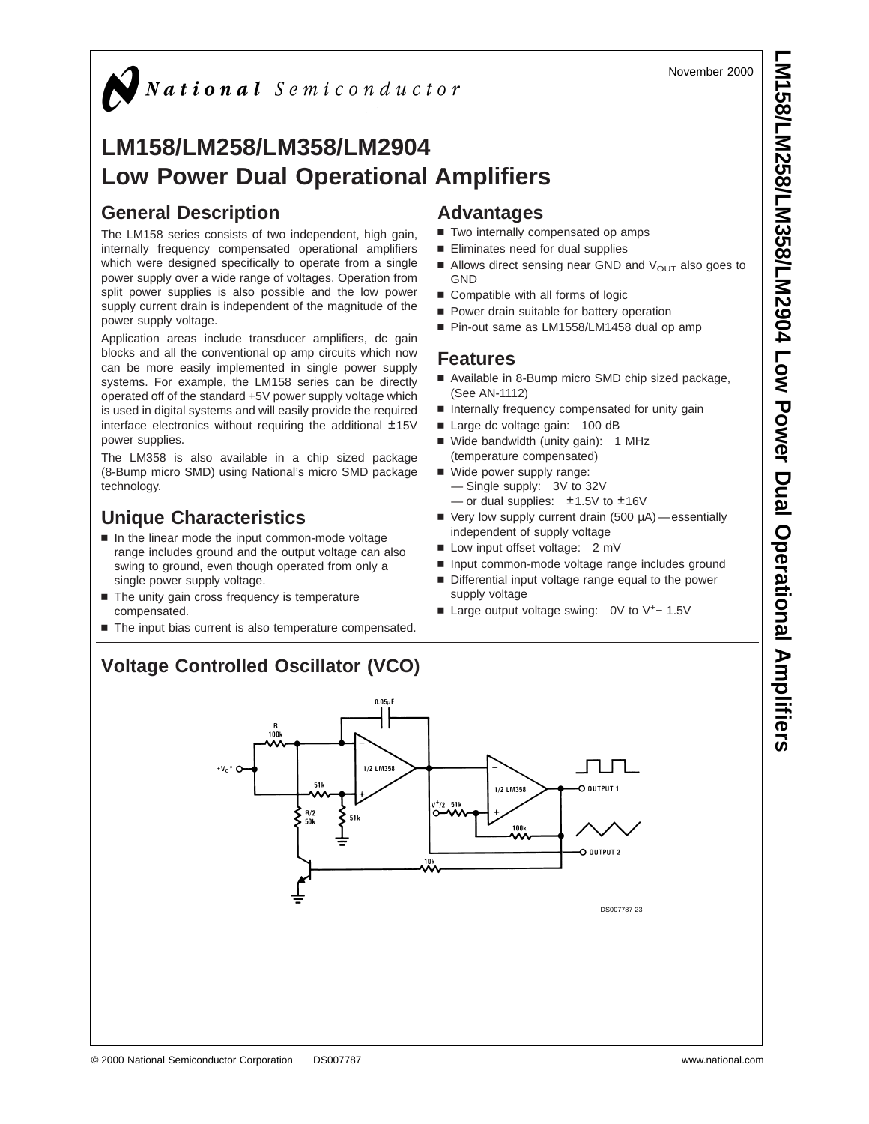November 2000

### $\sum$  National Semiconductor

### **LM158/LM258/LM358/LM2904 Low Power Dual Operational Amplifiers**

#### **General Description**

The LM158 series consists of two independent, high gain, internally frequency compensated operational amplifiers which were designed specifically to operate from a single power supply over a wide range of voltages. Operation from split power supplies is also possible and the low power supply current drain is independent of the magnitude of the power supply voltage.

Application areas include transducer amplifiers, dc gain blocks and all the conventional op amp circuits which now can be more easily implemented in single power supply systems. For example, the LM158 series can be directly operated off of the standard +5V power supply voltage which is used in digital systems and will easily provide the required interface electronics without requiring the additional ±15V power supplies.

The LM358 is also available in a chip sized package (8-Bump micro SMD) using National's micro SMD package technology.

#### **Unique Characteristics**

- $\blacksquare$  In the linear mode the input common-mode voltage range includes ground and the output voltage can also swing to ground, even though operated from only a single power supply voltage.
- $\blacksquare$  The unity gain cross frequency is temperature compensated.
- The input bias current is also temperature compensated.

#### **Advantages**

- Two internally compensated op amps
- Eliminates need for dual supplies
- Allows direct sensing near GND and  $V_{\text{OUT}}$  also goes to **GND**
- $\blacksquare$  Compatible with all forms of logic
- **Power drain suitable for battery operation**
- Pin-out same as LM1558/LM1458 dual op amp

#### **Features**

- Available in 8-Bump micro SMD chip sized package, (See AN-1112)
- n Internally frequency compensated for unity gain
- Large dc voltage gain: 100 dB
- Wide bandwidth (unity gain): 1 MHz (temperature compensated)
- Wide power supply range: — Single supply: 3V to 32V — or dual supplies:  $\pm 1.5V$  to  $\pm 16V$
- $\blacksquare$  Very low supply current drain (500  $\mu$ A) essentially independent of supply voltage
- Low input offset voltage: 2 mV
- n Input common-mode voltage range includes ground
- Differential input voltage range equal to the power supply voltage
- Large output voltage swing: 0V to V<sup>+</sup>- 1.5V

#### **Voltage Controlled Oscillator (VCO)**

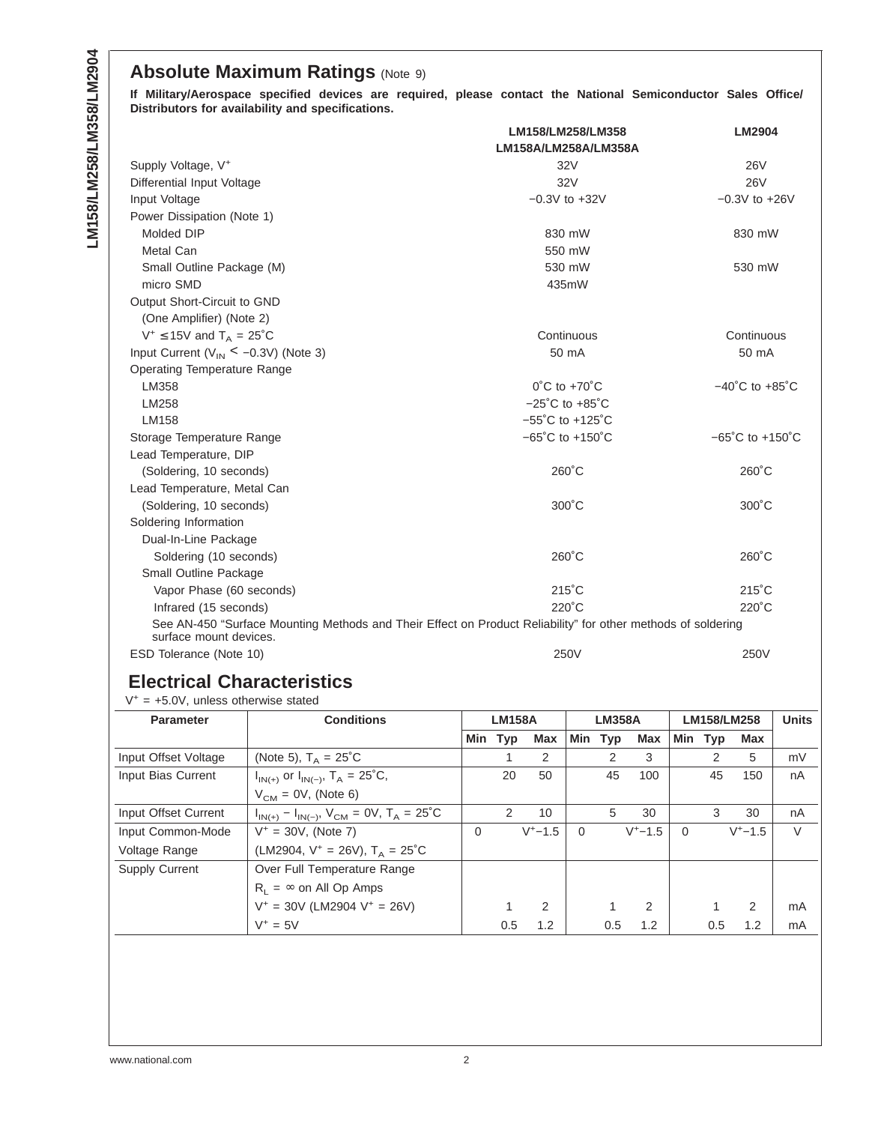#### **Absolute Maximum Ratings (Note 9)**

**If Military/Aerospace specified devices are required, please contact the National Semiconductor Sales Office/ Distributors for availability and specifications.**

|                                                                                                                                        | LM158/LM258/LM358                    | <b>LM2904</b>                       |
|----------------------------------------------------------------------------------------------------------------------------------------|--------------------------------------|-------------------------------------|
|                                                                                                                                        | LM158A/LM258A/LM358A                 |                                     |
| Supply Voltage, V <sup>+</sup>                                                                                                         | 32V                                  | <b>26V</b>                          |
| Differential Input Voltage                                                                                                             | 32V                                  | <b>26V</b>                          |
| Input Voltage                                                                                                                          | $-0.3V$ to $+32V$                    | $-0.3V$ to $+26V$                   |
| Power Dissipation (Note 1)                                                                                                             |                                      |                                     |
| Molded DIP                                                                                                                             | 830 mW                               | 830 mW                              |
| Metal Can                                                                                                                              | 550 mW                               |                                     |
| Small Outline Package (M)                                                                                                              | 530 mW                               | 530 mW                              |
| micro SMD                                                                                                                              | 435mW                                |                                     |
| Output Short-Circuit to GND                                                                                                            |                                      |                                     |
| (One Amplifier) (Note 2)                                                                                                               |                                      |                                     |
| $V^+ \le 15V$ and $T_A = 25^{\circ}C$                                                                                                  | Continuous                           | Continuous                          |
| Input Current ( $V_{IN} < -0.3V$ ) (Note 3)                                                                                            | 50 mA                                | 50 mA                               |
| <b>Operating Temperature Range</b>                                                                                                     |                                      |                                     |
| LM358                                                                                                                                  | $0^{\circ}$ C to +70 $^{\circ}$ C    | $-40^{\circ}$ C to $+85^{\circ}$ C  |
| LM258                                                                                                                                  | $-25^{\circ}$ C to $+85^{\circ}$ C   |                                     |
| LM158                                                                                                                                  | $-55^{\circ}$ C to $+125^{\circ}$ C  |                                     |
| Storage Temperature Range                                                                                                              | $-65^{\circ}$ C to +150 $^{\circ}$ C | $-65^{\circ}$ C to $+150^{\circ}$ C |
| Lead Temperature, DIP                                                                                                                  |                                      |                                     |
| (Soldering, 10 seconds)                                                                                                                | $260^{\circ}$ C                      | $260^{\circ}$ C                     |
| Lead Temperature, Metal Can                                                                                                            |                                      |                                     |
| (Soldering, 10 seconds)                                                                                                                | $300^{\circ}$ C                      | $300^{\circ}$ C                     |
| Soldering Information                                                                                                                  |                                      |                                     |
| Dual-In-Line Package                                                                                                                   |                                      |                                     |
| Soldering (10 seconds)                                                                                                                 | $260^{\circ}$ C                      | $260^{\circ}$ C                     |
| Small Outline Package                                                                                                                  |                                      |                                     |
| Vapor Phase (60 seconds)                                                                                                               | $215^{\circ}$ C                      | $215^{\circ}$ C                     |
| Infrared (15 seconds)                                                                                                                  | $220^{\circ}$ C                      | $220^{\circ}$ C                     |
| See AN-450 "Surface Mounting Methods and Their Effect on Product Reliability" for other methods of soldering<br>surface mount devices. |                                      |                                     |
| ESD Tolerance (Note 10)                                                                                                                | 250V                                 | 250V                                |

#### **Electrical Characteristics**

 $V^+$  = +5.0V, unless otherwise stated

| <b>Parameter</b>      | <b>Conditions</b>                                             | <b>LM158A</b> |            |                | <b>LM358A</b> |            | LM158/LM258 |          |     | <b>Units</b> |        |
|-----------------------|---------------------------------------------------------------|---------------|------------|----------------|---------------|------------|-------------|----------|-----|--------------|--------|
|                       |                                                               | Min           | <b>Typ</b> | Max            | Min           | <b>Typ</b> | Max         | Min      | Typ | Max          |        |
| Input Offset Voltage  | (Note 5), $T_A = 25^{\circ}C$                                 |               |            | 2              |               | 2          | 3           |          | 2   | 5            | mV     |
| Input Bias Current    | $I_{IN(+)}$ or $I_{IN(-)}$ , $T_A = 25^{\circ}C$ ,            |               | 20         | 50             |               | 45         | 100         |          | 45  | 150          | nA     |
|                       | $V_{CM}$ = 0V, (Note 6)                                       |               |            |                |               |            |             |          |     |              |        |
| Input Offset Current  | $I_{IN(+)} - I_{IN(-)}$ , $V_{CM} = 0V$ , $T_A = 25^{\circ}C$ |               | 2          | 10             |               | 5          | 30          |          | 3   | 30           | nA     |
| Input Common-Mode     | $V^+ = 30V$ , (Note 7)                                        | $\mathbf 0$   |            | $V^+ - 1.5$    | $\Omega$      |            | $V^+ - 1.5$ | $\Omega$ |     | $V^+ - 1.5$  | $\vee$ |
| Voltage Range         | (LM2904, $V^+$ = 26V), $T_A$ = 25°C                           |               |            |                |               |            |             |          |     |              |        |
| <b>Supply Current</b> | Over Full Temperature Range                                   |               |            |                |               |            |             |          |     |              |        |
|                       | $R_1 = \infty$ on All Op Amps                                 |               |            |                |               |            |             |          |     |              |        |
|                       | $V^+$ = 30V (LM2904 $V^+$ = 26V)                              |               |            | $\overline{2}$ |               |            | 2           |          | 1   | 2            | mA     |
|                       | $V^+ = 5V$                                                    |               | 0.5        | 1.2            |               | 0.5        | 1.2         |          | 0.5 | 1.2          | mA     |
|                       |                                                               |               |            |                |               |            |             |          |     |              |        |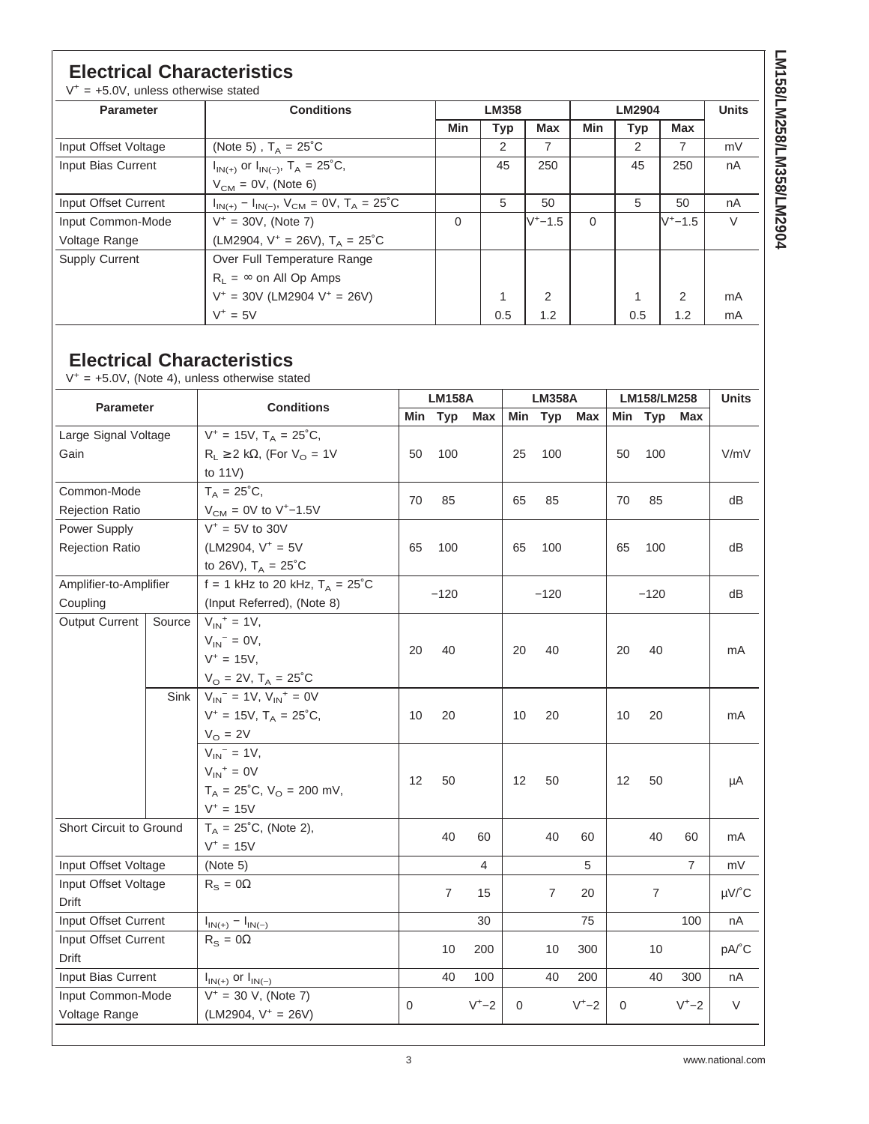#### **Electrical Characteristics**

 $V^+$  = +5.0V, unless otherwise stated

| <b>Parameter</b>      | <b>Conditions</b>                                       | <b>LM358</b> |     |                |          | <b>Units</b> |                |    |
|-----------------------|---------------------------------------------------------|--------------|-----|----------------|----------|--------------|----------------|----|
|                       |                                                         | Min          | Typ | <b>Max</b>     | Min      | Typ          | <b>Max</b>     |    |
| Input Offset Voltage  | (Note 5), $T_{\Delta} = 25^{\circ}$ C                   |              | 2   | $\overline{7}$ |          | 2            | $\overline{7}$ | mV |
| Input Bias Current    | $I_{IN(+)}$ or $I_{IN(-)}$ , $T_A = 25^{\circ}C$ ,      |              | 45  | 250            |          | 45           | 250            | nA |
|                       | $V_{CM}$ = 0V, (Note 6)                                 |              |     |                |          |              |                |    |
| Input Offset Current  | $I_{IN(+)} - I_{IN(-)}, V_{CM} = 0V, T_A = 25^{\circ}C$ |              | 5   | 50             |          | 5            | 50             | nA |
| Input Common-Mode     | $V^+ = 30V$ , (Note 7)                                  | $\Omega$     |     | $V^+$ –1.5     | $\Omega$ |              | $V^+$ –1.5     | V  |
| Voltage Range         | (LM2904, $V^+$ = 26V), $T_A$ = 25°C                     |              |     |                |          |              |                |    |
| <b>Supply Current</b> | Over Full Temperature Range                             |              |     |                |          |              |                |    |
|                       | $R_1 = \infty$ on All Op Amps                           |              |     |                |          |              |                |    |
|                       | $V^+$ = 30V (LM2904 $V^+$ = 26V)                        |              | 1   | $\mathfrak{p}$ |          | 4            | $\mathcal{P}$  | mA |
|                       | $V^+ = 5V$                                              |              | 0.5 | 1.2            |          | 0.5          | 1.2            | mA |

#### **Electrical Characteristics**

 $V^+$  = +5.0V, (Note 4), unless otherwise stated

| <b>Parameter</b>        |        | <b>Conditions</b>                                      |             | <b>LM158A</b>  |            | <b>LM358A</b> |                |           | LM158/LM258 |                |                | <b>Units</b>          |
|-------------------------|--------|--------------------------------------------------------|-------------|----------------|------------|---------------|----------------|-----------|-------------|----------------|----------------|-----------------------|
|                         |        |                                                        | Min         | Typ            | <b>Max</b> |               | Min Typ        | Max       | Min         | Typ            | Max            |                       |
| Large Signal Voltage    |        | $V^+ = 15V$ , $T_A = 25^{\circ}C$ ,                    |             |                |            |               |                |           |             |                |                |                       |
| Gain                    |        | $R_L \ge 2$ kΩ, (For V <sub>O</sub> = 1V               | 50          | 100            |            | 25            | 100            |           | 50          | 100            |                | V/mV                  |
|                         |        | to $11V$ )                                             |             |                |            |               |                |           |             |                |                |                       |
| Common-Mode             |        | $T_A = 25^{\circ}C,$                                   | 70          | 85             |            | 65            | 85             |           | 70          | 85             |                | dВ                    |
| <b>Rejection Ratio</b>  |        | $V_{CM} = 0V$ to V <sup>+</sup> -1.5V                  |             |                |            |               |                |           |             |                |                |                       |
| Power Supply            |        | $V^* = 5V$ to 30V                                      |             |                |            |               |                |           |             |                |                |                       |
| <b>Rejection Ratio</b>  |        | (LM2904, $V^+ = 5V$                                    | 65          | 100            |            | 65            | 100            |           | 65          | 100            |                | dB                    |
|                         |        | to 26V), $T_A = 25^{\circ}C$                           |             |                |            |               |                |           |             |                |                |                       |
| Amplifier-to-Amplifier  |        | f = 1 kHz to 20 kHz, $T_A = 25^{\circ}$ C              |             | $-120$         |            |               | $-120$         |           |             | $-120$         |                | dВ                    |
| Coupling                |        | (Input Referred), (Note 8)                             |             |                |            |               |                |           |             |                |                |                       |
| <b>Output Current</b>   | Source | $V_{IN}^+ = 1V$ ,                                      |             |                |            |               |                |           |             |                |                |                       |
|                         |        | $V_{IN}$ <sup>-</sup> = 0V,                            | 20          | 40             |            | 20            | 40             |           | 20          | 40             |                | mA                    |
|                         |        | $V^+ = 15V$ ,                                          |             |                |            |               |                |           |             |                |                |                       |
|                         |        | $V_{\rm O} = 2V$ , $T_{\rm A} = 25^{\circ}C$           |             |                |            |               |                |           |             |                |                |                       |
|                         | Sink   | $V_{IN}$ <sup>-</sup> = 1V, $V_{IN}$ <sup>+</sup> = 0V |             |                |            |               |                |           |             |                |                |                       |
|                         |        | $V^+ = 15V$ , $T_A = 25^{\circ}C$ ,                    | 10          | 20             |            | 10            | 20             |           | 10          | 20             |                | mA                    |
|                         |        | $V_{\rm O} = 2V$                                       |             |                |            |               |                |           |             |                |                |                       |
|                         |        | $V_{IN}$ <sup>-</sup> = 1V,                            |             |                |            |               |                |           |             |                |                |                       |
|                         |        | $V_{IN}^+ = 0V$                                        | 12          | 50             |            | 12            | 50             |           | 12          | 50             |                | μA                    |
|                         |        | $T_A = 25^{\circ}C$ , $V_O = 200$ mV,                  |             |                |            |               |                |           |             |                |                |                       |
|                         |        | $V^+ = 15V$                                            |             |                |            |               |                |           |             |                |                |                       |
| Short Circuit to Ground |        | $T_A = 25^{\circ}C$ , (Note 2),                        |             | 40             | 60         |               | 40             | 60        |             | 40             | 60             | mA                    |
|                         |        | $V^+ = 15V$                                            |             |                |            |               |                |           |             |                |                |                       |
| Input Offset Voltage    |        | (Note 5)                                               |             |                | 4          |               |                | 5         |             |                | $\overline{7}$ | mV                    |
| Input Offset Voltage    |        | $R_S = 0\Omega$                                        |             | $\overline{7}$ | 15         |               | $\overline{7}$ | 20        |             | $\overline{7}$ |                | $\mu$ V/ $^{\circ}$ C |
| Drift                   |        |                                                        |             |                |            |               |                |           |             |                |                |                       |
| Input Offset Current    |        | $I_{IN(+)} - I_{IN(-)}$                                |             |                | 30         |               |                | 75        |             |                | 100            | nA                    |
| Input Offset Current    |        | $R_s = 0\Omega$                                        |             | 10             | 200        |               | 10             | 300       |             | 10             |                | pA/°C                 |
| <b>Drift</b>            |        |                                                        |             |                |            |               |                |           |             |                |                |                       |
| Input Bias Current      |        | $I_{IN(+)}$ or $I_{IN(-)}$                             |             | 40             | 100        |               | 40             | 200       |             | 40             | 300            | nA                    |
| Input Common-Mode       |        | $V^+ = 30$ V, (Note 7)                                 | $\mathbf 0$ |                | $V^+ - 2$  | $\mathbf 0$   |                | $V^+ - 2$ | $\mathbf 0$ |                | $V^+ - 2$      | V                     |
| Voltage Range           |        | $(LM2904, V^+ = 26V)$                                  |             |                |            |               |                |           |             |                |                |                       |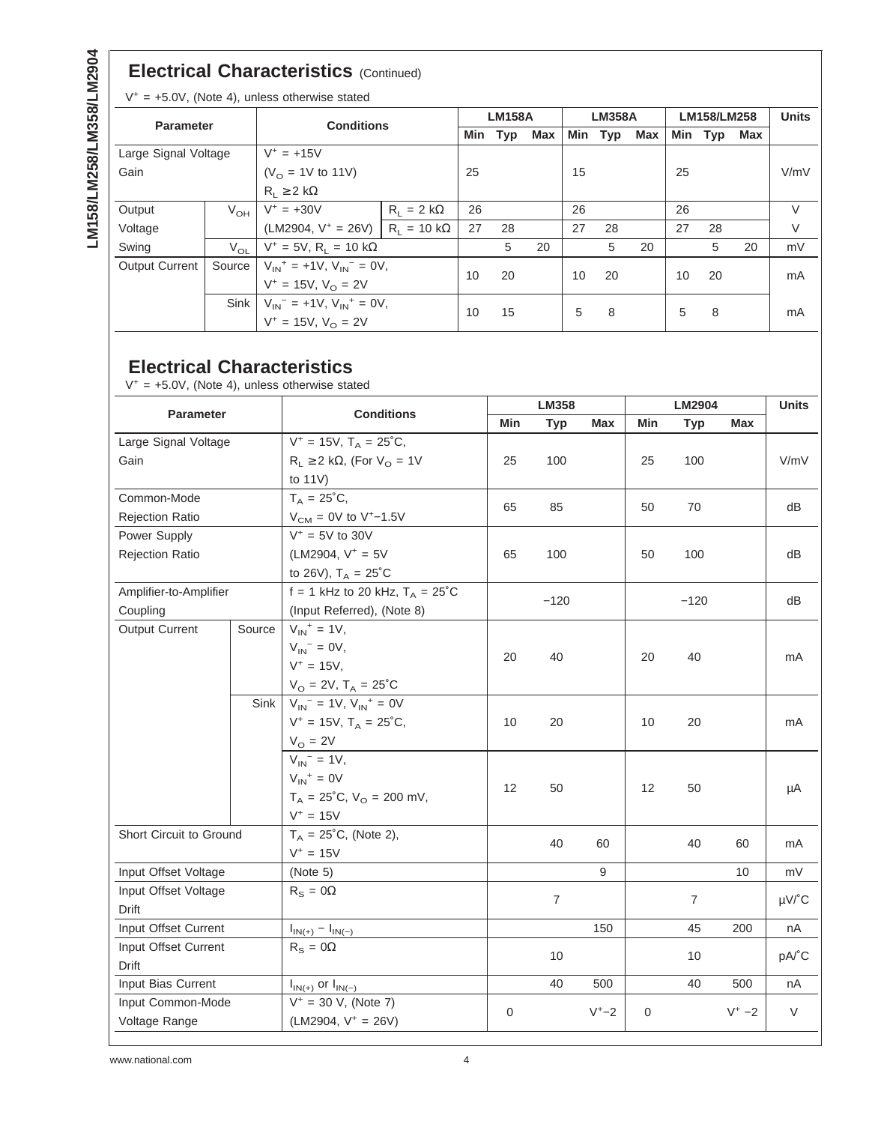#### **Electrical Characteristics** (Continued)

 $V^+$  = +5.0V, (Note 4), unless otherwise stated

| <b>Conditions</b><br><b>Parameter</b> |          |                                         |                            | <b>LM158A</b> |     |     | <b>LM358A</b> |     |     | LM158/LM258 |    |    | <b>Units</b> |
|---------------------------------------|----------|-----------------------------------------|----------------------------|---------------|-----|-----|---------------|-----|-----|-------------|----|----|--------------|
|                                       |          | Min                                     | Typ                        | Max           | Min | Typ | Max           | Min | Typ | Max         |    |    |              |
| Large Signal Voltage                  |          | $V^+ = +15V$                            |                            |               |     |     |               |     |     |             |    |    |              |
| Gain                                  |          | $(VO = 1V$ to 11V)                      |                            | 25            |     |     | 15            |     |     | 25          |    |    | V/mV         |
|                                       |          | $R_1 \geq 2 k\Omega$                    |                            |               |     |     |               |     |     |             |    |    |              |
| Output                                | $V_{OH}$ | $V^+ = +30V$                            | $R_1 = 2 k\Omega$          | 26            |     |     | 26            |     |     | 26          |    |    | V            |
| Voltage                               |          | $(LM2904, V^+ = 26V)$                   | $R_1 = 10 \text{ k}\Omega$ | 27            | 28  |     | 27            | 28  |     | 27          | 28 |    | V            |
| Swing                                 | $V_{OL}$ | $V^+ = 5V$ , R <sub>L</sub> = 10 kΩ     |                            |               | 5   | 20  |               | 5   | 20  |             | 5  | 20 | mV           |
| <b>Output Current</b>                 | Source   | $V_{1N}^+$ = +1V, $V_{1N}^-$ = 0V,      |                            | 10            | 20  |     | 10            | 20  |     | 10          | 20 |    | mA           |
|                                       |          | $V^+ = 15V, VO = 2V$                    |                            |               |     |     |               |     |     |             |    |    |              |
|                                       |          | Sink $V_{1N}^-$ = +1V, $V_{1N}^+$ = 0V, |                            | 10            | 15  |     | 5             | 8   |     | 5           | 8  |    |              |
|                                       |          | $V^+ = 15V$ , $V_0 = 2V$                |                            |               |     |     |               |     |     |             |    |    | mA           |

#### **Electrical Characteristics**

 $V^+$  = +5.0V, (Note 4), unless otherwise stated

| <b>Parameter</b>        |        | <b>Conditions</b>                                      |              | LM358          |           |              | LM2904         |          |                       |
|-------------------------|--------|--------------------------------------------------------|--------------|----------------|-----------|--------------|----------------|----------|-----------------------|
|                         |        |                                                        | Min          | <b>Typ</b>     | Max       | Min          | <b>Typ</b>     | Max      |                       |
| Large Signal Voltage    |        | $V^+ = 15V$ , $T_A = 25^{\circ}C$ ,                    |              |                |           |              |                |          |                       |
| Gain                    |        | $R_L \ge 2$ kΩ, (For V <sub>O</sub> = 1V               | 25           | 100            |           | 25           | 100            |          | V/mV                  |
|                         |        | to $11V$ )                                             |              |                |           |              |                |          |                       |
| Common-Mode             |        | $T_A = 25^{\circ}C,$                                   | 65           | 85             |           | 50           | 70             |          | dВ                    |
| <b>Rejection Ratio</b>  |        | $V_{CM} = 0V$ to V <sup>+</sup> -1.5V                  |              |                |           |              |                |          |                       |
| Power Supply            |        | $V^* = 5V$ to 30V                                      |              |                |           |              |                |          |                       |
| Rejection Ratio         |        | $(LM2904, V^+ = 5V)$                                   | 65           | 100            |           | 50           | 100            |          | dВ                    |
|                         |        | to 26V), $T_A = 25^{\circ}C$                           |              |                |           |              |                |          |                       |
| Amplifier-to-Amplifier  |        | f = 1 kHz to 20 kHz, $T_A = 25^{\circ}$ C              | $-120$       |                |           |              | $-120$         |          | dB                    |
| Coupling                |        | (Input Referred), (Note 8)                             |              |                |           |              |                |          |                       |
| Output Current          | Source | $V_{IN}^+ = 1V,$                                       |              |                |           |              |                |          |                       |
|                         |        | $V_{IN}$ <sup>-</sup> = 0V,                            | 20           | 40             | 20        |              | 40             |          | mA                    |
|                         |        | $V^+ = 15V$ ,                                          |              |                |           |              |                |          |                       |
|                         |        | $V_{\rm O} = 2V$ , $T_{\rm A} = 25^{\circ}C$           |              |                |           |              |                |          |                       |
|                         | Sink   | $V_{IN}$ <sup>-</sup> = 1V, $V_{IN}$ <sup>+</sup> = 0V |              |                |           |              |                |          |                       |
|                         |        | $V^+ = 15V$ , $T_A = 25^{\circ}C$ ,                    | 10           | 20             |           | 10           | 20             |          | mA                    |
|                         |        | $V_O = 2V$                                             |              |                |           |              |                |          |                       |
|                         |        | $V_{IN}$ <sup>-</sup> = 1V,                            |              |                |           |              |                |          |                       |
|                         |        | $V_{IN}^+ = 0V$                                        | 12           | 50             |           | 12           | 50             |          | μA                    |
|                         |        | $T_A = 25^{\circ}C$ , $V_O = 200$ mV,                  |              |                |           |              |                |          |                       |
|                         |        | $V^+ = 15V$                                            |              |                |           |              |                |          |                       |
| Short Circuit to Ground |        | $T_A = 25^{\circ}C$ , (Note 2),                        |              | 40             | 60        |              | 40             | 60       | mA                    |
|                         |        | $V^+ = 15V$                                            |              |                |           |              |                |          |                       |
| Input Offset Voltage    |        | (Note 5)                                               |              |                | 9         |              |                | 10       | mV                    |
| Input Offset Voltage    |        | $R_S = 0\Omega$                                        |              | $\overline{7}$ |           |              | $\overline{7}$ |          | $\mu$ V/ $^{\circ}$ C |
| Drift                   |        |                                                        |              |                |           |              |                |          |                       |
| Input Offset Current    |        | $I_{IN(+)} - I_{IN(-)}$                                |              |                | 150       |              | 45             | 200      | nA                    |
| Input Offset Current    |        | $R_{\rm s} = 0\Omega$                                  |              | 10             |           |              | 10             |          | pA/°C                 |
| Drift                   |        |                                                        |              |                |           |              |                |          |                       |
| Input Bias Current      |        | $I_{IN(+)}$ or $I_{IN(-)}$                             |              | 40             | 500       |              | 40             | 500      | nA                    |
| Input Common-Mode       |        | $V^+ = 30$ V, (Note 7)                                 | $\mathbf{0}$ |                | $V^+ - 2$ | $\mathbf{0}$ |                | $V^+ -2$ | $\vee$                |
| Voltage Range           |        | $(LM2904, V^+ = 26V)$                                  |              |                |           |              |                |          |                       |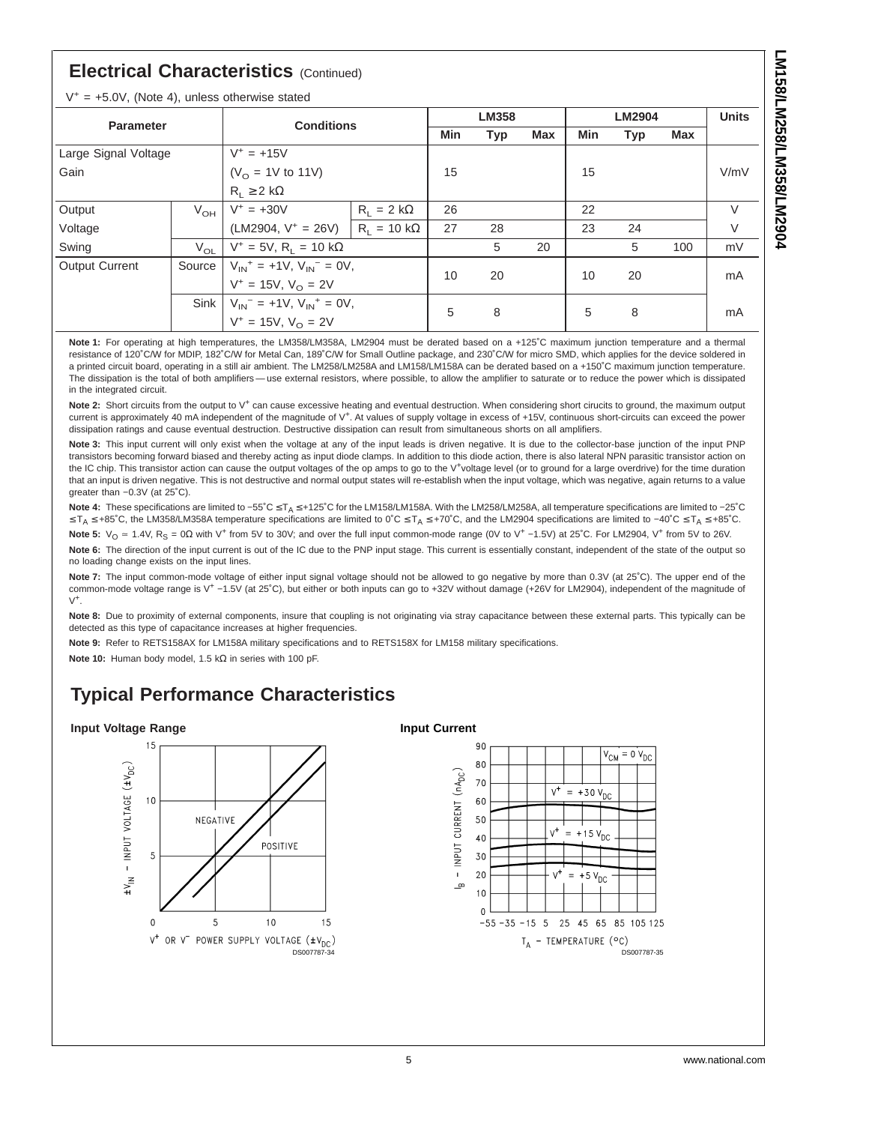#### **Electrical Characteristics** (Continued)

 $V^+ = +5.0V$  (Note 4), unless otherwise stated

|                       |                | <b>Conditions</b>                       |                            | <b>LM358</b> |            |            | <b>LM2904</b> |            |     | <b>Units</b> |
|-----------------------|----------------|-----------------------------------------|----------------------------|--------------|------------|------------|---------------|------------|-----|--------------|
| <b>Parameter</b>      |                |                                         |                            | Min          | <b>Typ</b> | <b>Max</b> | Min           | <b>Typ</b> | Max |              |
| Large Signal Voltage  |                | $V^+ = +15V$                            |                            |              |            |            |               |            |     |              |
| Gain                  |                | $(VO = 1V$ to 11V)                      |                            | 15           |            |            | 15            |            |     | V/mV         |
|                       |                | $R_1 \geq 2 k\Omega$                    |                            |              |            |            |               |            |     |              |
| Output                | $V_{OH}$       | $V^+ = +30V$                            | $R_1 = 2 k\Omega$          | 26           |            |            | 22            |            |     | $\vee$       |
| Voltage               |                | $(LM2904, V^+ = 26V)$                   | $R_1 = 10 \text{ k}\Omega$ | 27           | 28         |            | 23            | 24         |     | V            |
| Swing                 | $V_{\Omega L}$ | $V^+ = 5V$ , R <sub>1</sub> = 10 kΩ     |                            |              | 5          | 20         |               | 5          | 100 | mV           |
| <b>Output Current</b> | Source         | $V_{1N}^+$ = +1V, $V_{1N}^-$ = 0V,      |                            | 10           | 20         |            | 10            | 20         |     | mA           |
|                       |                | $V^+ = 15V$ , $V_{\Omega} = 2V$         |                            |              |            |            |               |            |     |              |
|                       |                | Sink $V_{1N}^-$ = +1V, $V_{1N}^+$ = 0V, |                            |              |            |            |               |            |     |              |
|                       |                | $V^+ = 15V, V_{\Omega} = 2V$            |                            | 5            | 8          |            | 5             | 8          |     | mA           |

**Note 1:** For operating at high temperatures, the LM358/LM358A, LM2904 must be derated based on a +125˚C maximum junction temperature and a thermal resistance of 120˚C/W for MDIP, 182˚C/W for Metal Can, 189˚C/W for Small Outline package, and 230˚C/W for micro SMD, which applies for the device soldered in a printed circuit board, operating in a still air ambient. The LM258/LM258A and LM158/LM158A can be derated based on a +150˚C maximum junction temperature. The dissipation is the total of both amplifiers — use external resistors, where possible, to allow the amplifier to saturate or to reduce the power which is dissipated in the integrated circuit.

Note 2: Short circuits from the output to V<sup>+</sup> can cause excessive heating and eventual destruction. When considering short cirucits to ground, the maximum output current is approximately 40 mA independent of the magnitude of V<sup>+</sup>. At values of supply voltage in excess of +15V, continuous short-circuits can exceed the power dissipation ratings and cause eventual destruction. Destructive dissipation can result from simultaneous shorts on all amplifiers.

**Note 3:** This input current will only exist when the voltage at any of the input leads is driven negative. It is due to the collector-base junction of the input PNP transistors becoming forward biased and thereby acting as input diode clamps. In addition to this diode action, there is also lateral NPN parasitic transistor action on the IC chip. This transistor action can cause the output voltages of the op amps to go to the V<sup>+</sup>voltage level (or to ground for a large overdrive) for the time duration that an input is driven negative. This is not destructive and normal output states will re-establish when the input voltage, which was negative, again returns to a value greater than −0.3V (at 25˚C).

Note 4: These specifications are limited to −55°C ≤ T<sub>A</sub> ≤ +125°C for the LM158/LM158A. With the LM258/LM258A, all temperature specifications are limited to −25°C ≤ T<sub>A</sub> ≤ +85°C, the LM358/LM358A temperature specifications are limited to 0°C ≤ T<sub>A</sub> ≤ +70°C, and the LM2904 specifications are limited to –40°C ≤ T<sub>A</sub> ≤ +85°C.

Note 5:  $V_0$  = 1.4V, R<sub>S</sub> = 0Ω with V<sup>+</sup> from 5V to 30V; and over the full input common-mode range (0V to V<sup>+</sup> −1.5V) at 25°C. For LM2904, V<sup>+</sup> from 5V to 26V.

Note 6: The direction of the input current is out of the IC due to the PNP input stage. This current is essentially constant, independent of the state of the output so no loading change exists on the input lines.

**Note 7:** The input common-mode voltage of either input signal voltage should not be allowed to go negative by more than 0.3V (at 25˚C). The upper end of the common-mode voltage range is V+ −1.5V (at 25˚C), but either or both inputs can go to +32V without damage (+26V for LM2904), independent of the magnitude of  $V^+$ .

**Note 8:** Due to proximity of external components, insure that coupling is not originating via stray capacitance between these external parts. This typically can be detected as this type of capacitance increases at higher frequencies.

**Note 9:** Refer to RETS158AX for LM158A military specifications and to RETS158X for LM158 military specifications.

**Note 10:** Human body model, 1.5 kΩ in series with 100 pF.

#### **Typical Performance Characteristics**

#### **Input Voltage Range**



#### **Input Current**

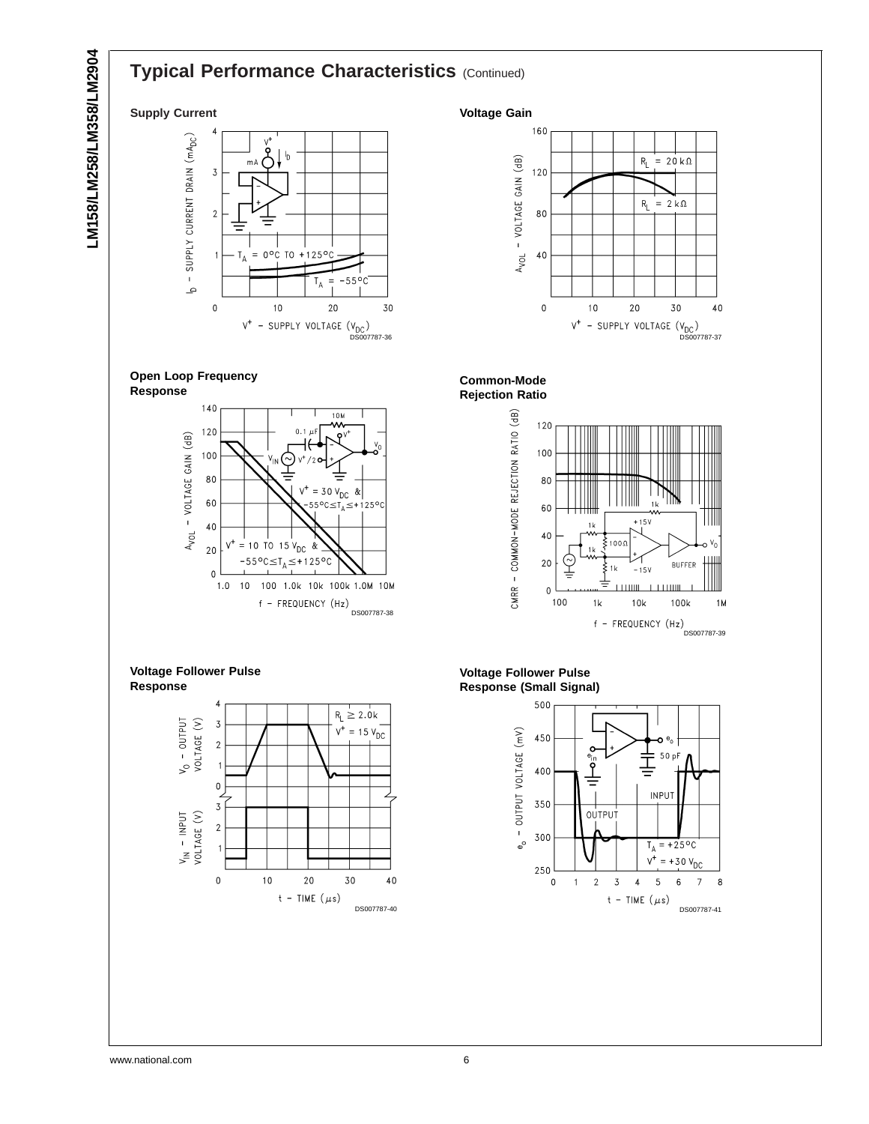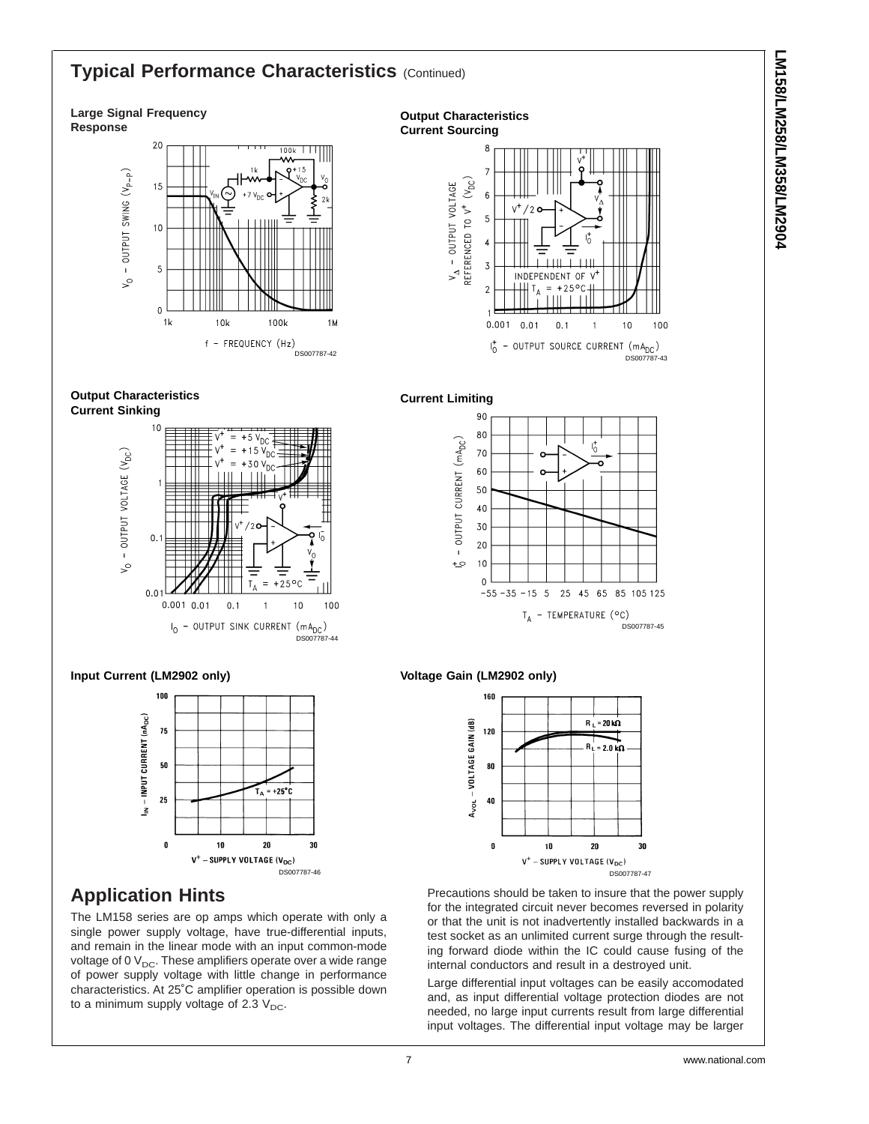#### **Typical Performance Characteristics (Continued)**

#### **Large Signal Frequency Response**



**Output Characteristics Current Sinking**



#### **Input Current (LM2902 only)**



#### **Application Hints**

The LM158 series are op amps which operate with only a single power supply voltage, have true-differential inputs, and remain in the linear mode with an input common-mode voltage of 0  $V_{DC}$ . These amplifiers operate over a wide range of power supply voltage with little change in performance characteristics. At 25˚C amplifier operation is possible down to a minimum supply voltage of 2.3  $V_{DC}$ .

**Output Characteristics Current Sourcing**  $V_{\Delta}$  - OUTPUT VOLTAGE<br>REFERENCED TO  $V^{\dagger}$  (V<sub>DC</sub>)  $\overline{5}$  $\overline{3}$ INDEPENDENT OF V  $\overline{2}$  $+25^{\circ}$ C  $0.001$  $0.01$  $0.1$  $10$ 100

> $I_0^+$  - OUTPUT SOURCE CURRENT (mA<sub>DC</sub>) DS007787-43





#### **Voltage Gain (LM2902 only)**



Precautions should be taken to insure that the power supply for the integrated circuit never becomes reversed in polarity or that the unit is not inadvertently installed backwards in a test socket as an unlimited current surge through the resulting forward diode within the IC could cause fusing of the internal conductors and result in a destroyed unit.

Large differential input voltages can be easily accomodated and, as input differential voltage protection diodes are not needed, no large input currents result from large differential input voltages. The differential input voltage may be larger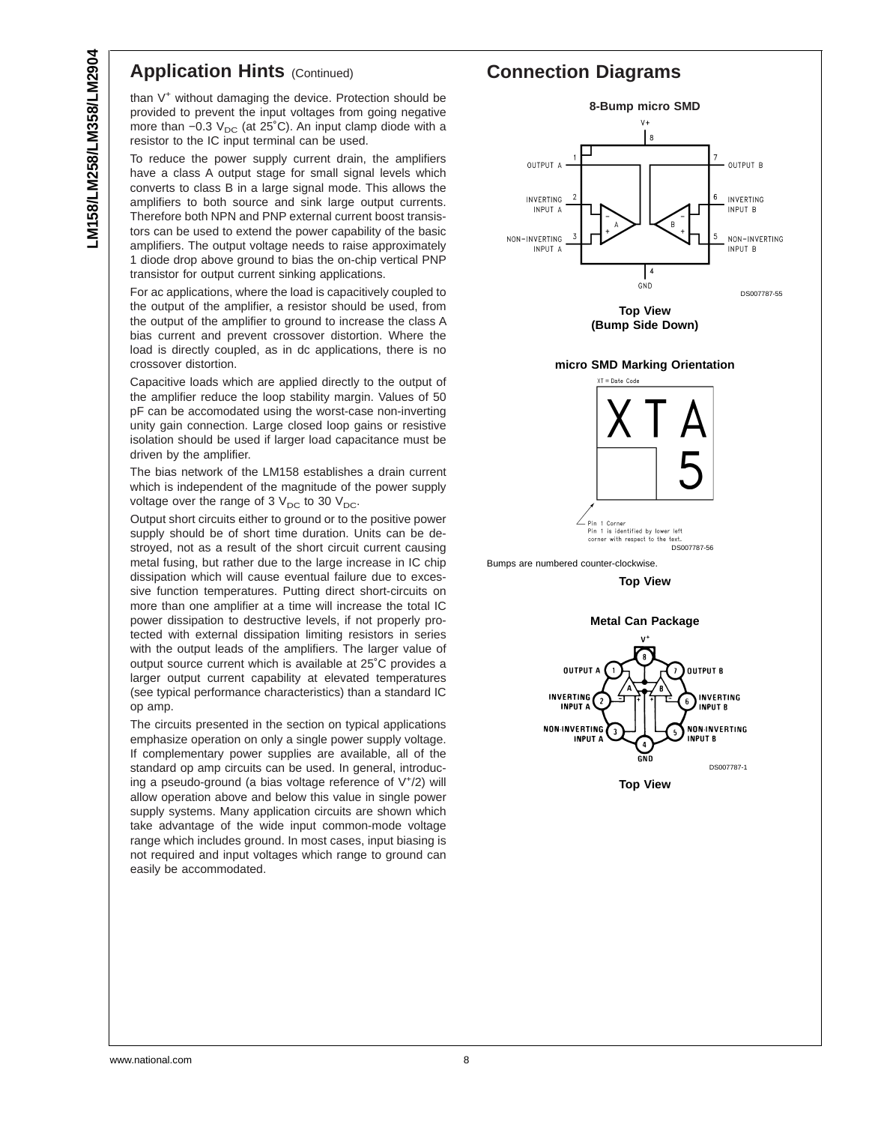### LM158/LM258/LM358/LM2904 **LM158/LM258/LM358/LM2904**

#### **Application Hints (Continued)**

than V<sup>+</sup> without damaging the device. Protection should be provided to prevent the input voltages from going negative more than  $-0.3$  V<sub>DC</sub> (at 25°C). An input clamp diode with a resistor to the IC input terminal can be used.

To reduce the power supply current drain, the amplifiers have a class A output stage for small signal levels which converts to class B in a large signal mode. This allows the amplifiers to both source and sink large output currents. Therefore both NPN and PNP external current boost transistors can be used to extend the power capability of the basic amplifiers. The output voltage needs to raise approximately 1 diode drop above ground to bias the on-chip vertical PNP transistor for output current sinking applications.

For ac applications, where the load is capacitively coupled to the output of the amplifier, a resistor should be used, from the output of the amplifier to ground to increase the class A bias current and prevent crossover distortion. Where the load is directly coupled, as in dc applications, there is no crossover distortion.

Capacitive loads which are applied directly to the output of the amplifier reduce the loop stability margin. Values of 50 pF can be accomodated using the worst-case non-inverting unity gain connection. Large closed loop gains or resistive isolation should be used if larger load capacitance must be driven by the amplifier.

The bias network of the LM158 establishes a drain current which is independent of the magnitude of the power supply voltage over the range of 3  $V_{DC}$  to 30  $V_{DC}$ .

Output short circuits either to ground or to the positive power supply should be of short time duration. Units can be destroyed, not as a result of the short circuit current causing metal fusing, but rather due to the large increase in IC chip dissipation which will cause eventual failure due to excessive function temperatures. Putting direct short-circuits on more than one amplifier at a time will increase the total IC power dissipation to destructive levels, if not properly protected with external dissipation limiting resistors in series with the output leads of the amplifiers. The larger value of output source current which is available at 25˚C provides a larger output current capability at elevated temperatures (see typical performance characteristics) than a standard IC op amp.

The circuits presented in the section on typical applications emphasize operation on only a single power supply voltage. If complementary power supplies are available, all of the standard op amp circuits can be used. In general, introducing a pseudo-ground (a bias voltage reference of V+ /2) will allow operation above and below this value in single power supply systems. Many application circuits are shown which take advantage of the wide input common-mode voltage range which includes ground. In most cases, input biasing is not required and input voltages which range to ground can easily be accommodated.

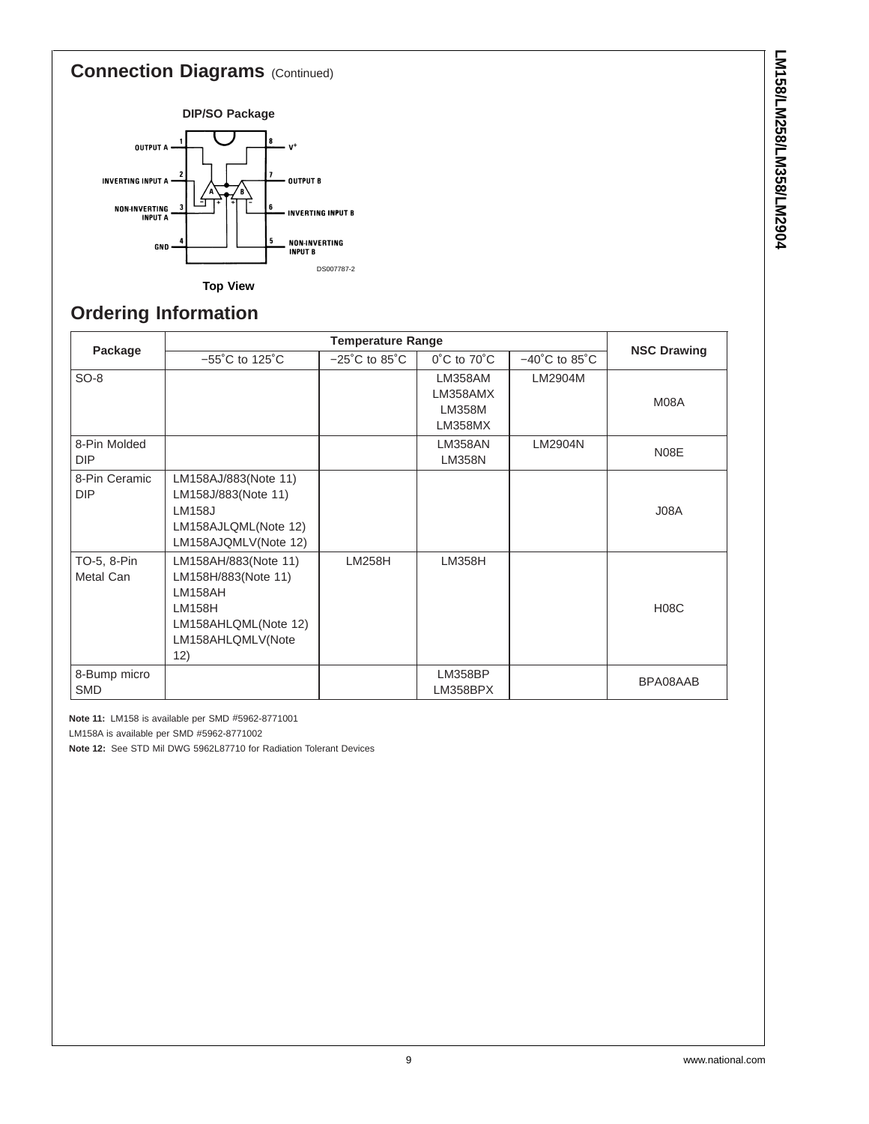#### **Connection Diagrams** (Continued)



#### **Ordering Information**

| Package                     |                                                                                                                             | <b>NSC Drawing</b>                 |                                                 |                                    |             |
|-----------------------------|-----------------------------------------------------------------------------------------------------------------------------|------------------------------------|-------------------------------------------------|------------------------------------|-------------|
|                             | $-55^{\circ}$ C to 125 $^{\circ}$ C                                                                                         | $-25^{\circ}$ C to 85 $^{\circ}$ C | $0^{\circ}$ C to $70^{\circ}$ C                 | $-40^{\circ}$ C to 85 $^{\circ}$ C |             |
| $SO-8$                      |                                                                                                                             |                                    | LM358AM<br>LM358AMX<br><b>LM358M</b><br>LM358MX | LM2904M                            | M08A        |
| 8-Pin Molded<br><b>DIP</b>  |                                                                                                                             |                                    | LM358AN<br><b>LM358N</b>                        | LM2904N                            | N08E        |
| 8-Pin Ceramic<br><b>DIP</b> | LM158AJ/883(Note 11)<br>LM158J/883(Note 11)<br><b>LM158J</b><br>LM158AJLQML(Note 12)<br>LM158AJQMLV(Note 12)                |                                    |                                                 |                                    | J08A        |
| TO-5, 8-Pin<br>Metal Can    | LM158AH/883(Note 11)<br>LM158H/883(Note 11)<br>LM158AH<br><b>LM158H</b><br>LM158AHLQML(Note 12)<br>LM158AHLQMLV(Note<br>12) | <b>LM258H</b>                      | <b>LM358H</b>                                   |                                    | <b>H08C</b> |
| 8-Bump micro<br><b>SMD</b>  |                                                                                                                             |                                    | <b>LM358BP</b><br>LM358BPX                      |                                    | BPA08AAB    |

**Note 11:** LM158 is available per SMD #5962-8771001

LM158A is available per SMD #5962-8771002

**Note 12:** See STD Mil DWG 5962L87710 for Radiation Tolerant Devices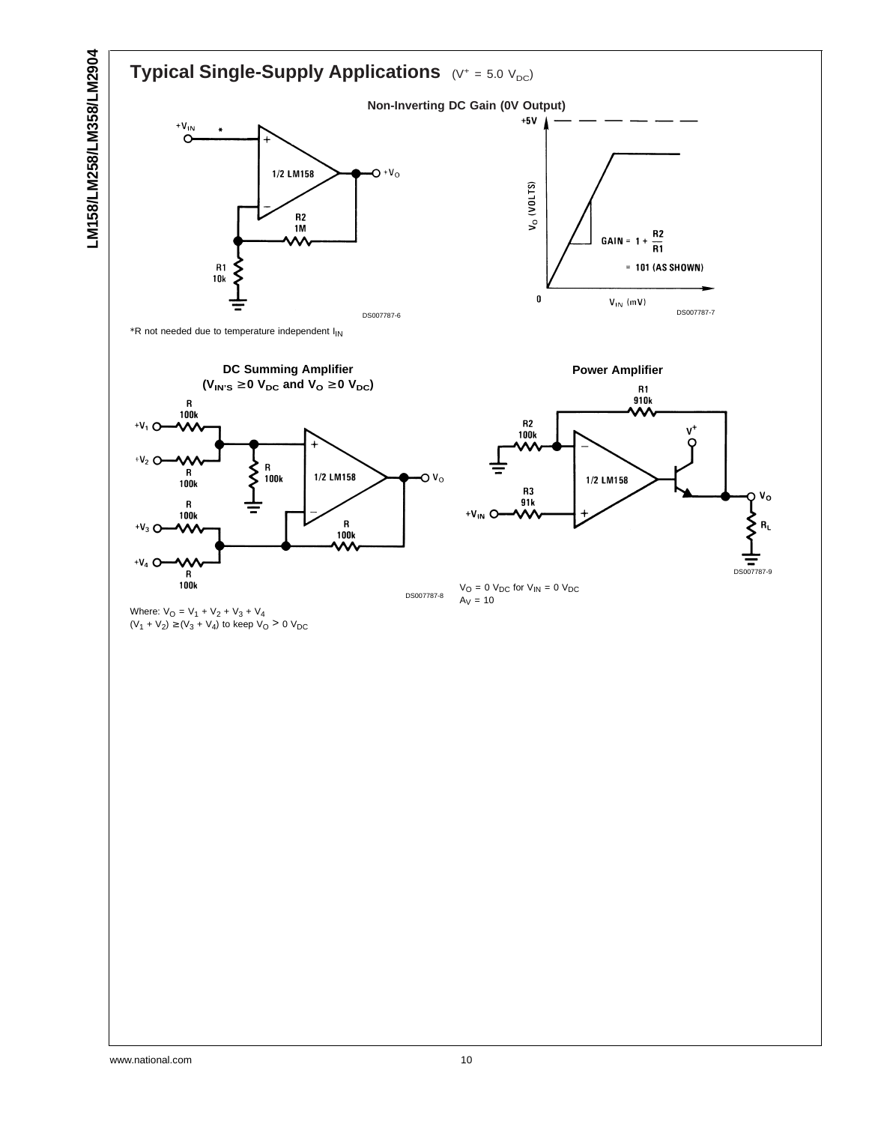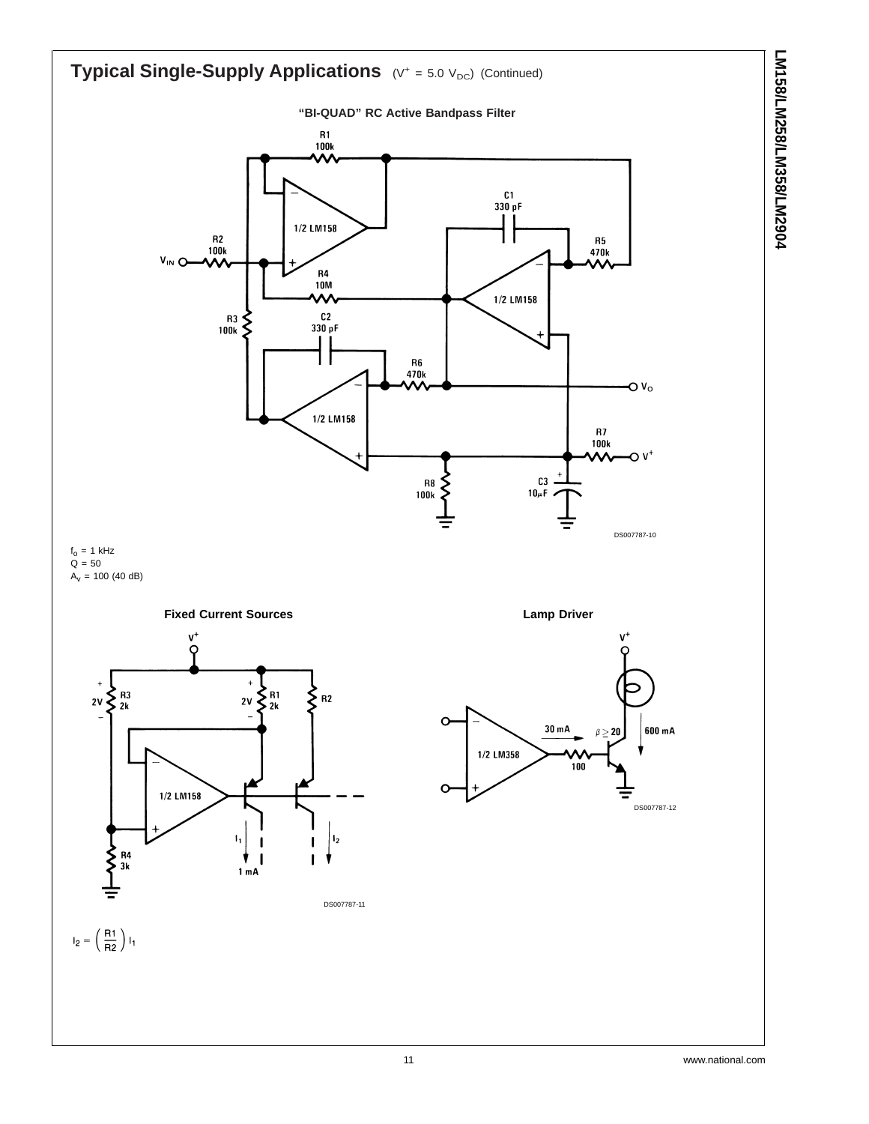



 $f_0 = 1$  kHz  $\tilde{Q} = 50$  $A_v = 100 (40 dB)$ 



**Lamp Driver**

 $C3$ .

 $10\mu F$ 

 ${\sf R8}$ ξ

100<sub>k</sub>

DS007787-10

 $\mathsf{O} \mathsf{V}_\mathsf{O}$ 

ֿע ר



 $\mathsf{I}_2 = \left(\begin{array}{c} \mathsf{R1} \\ \mathsf{R2} \end{array}\right) \mathsf{I}_1$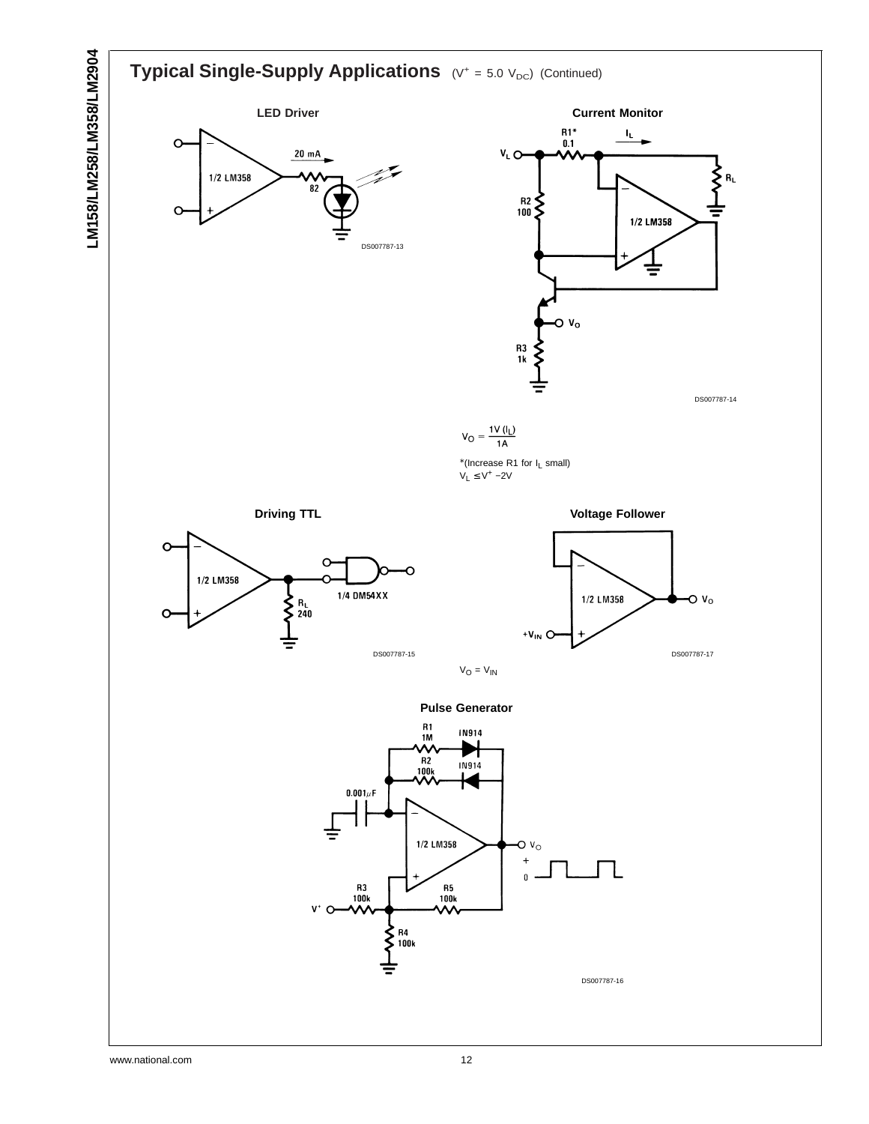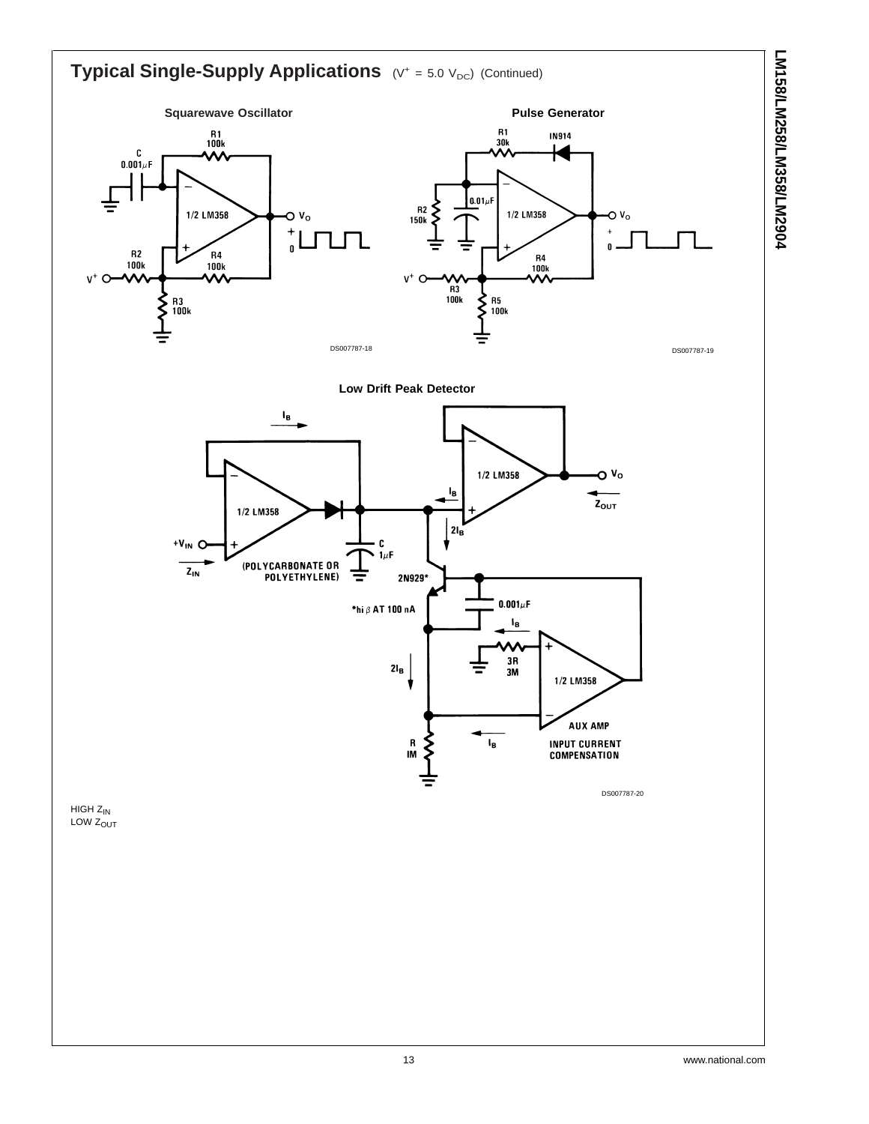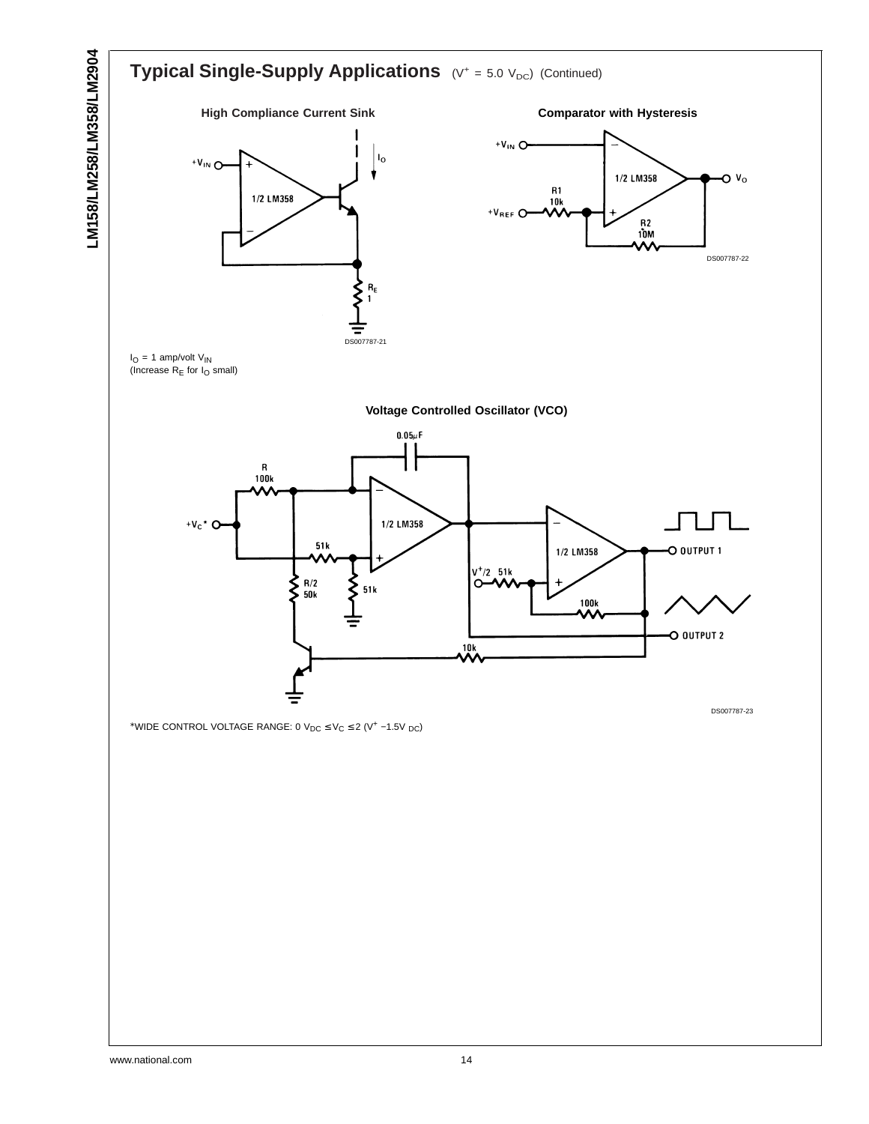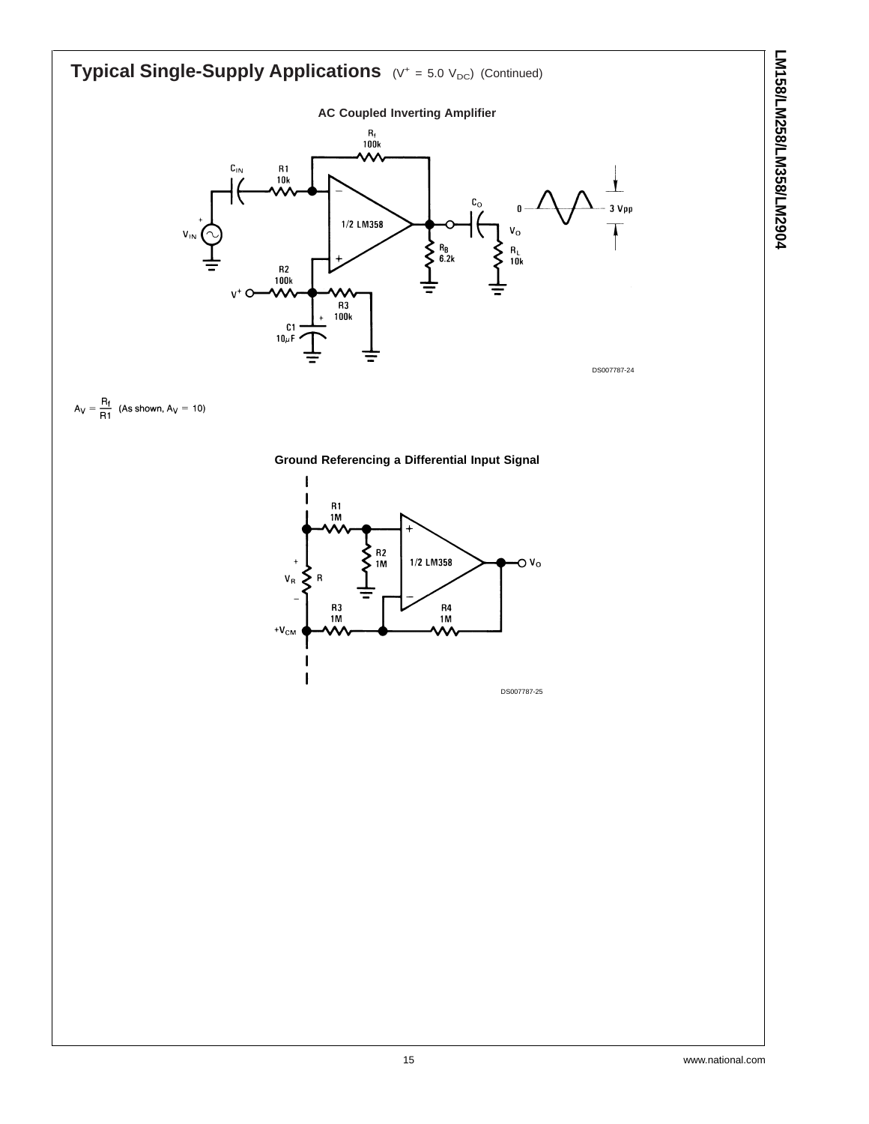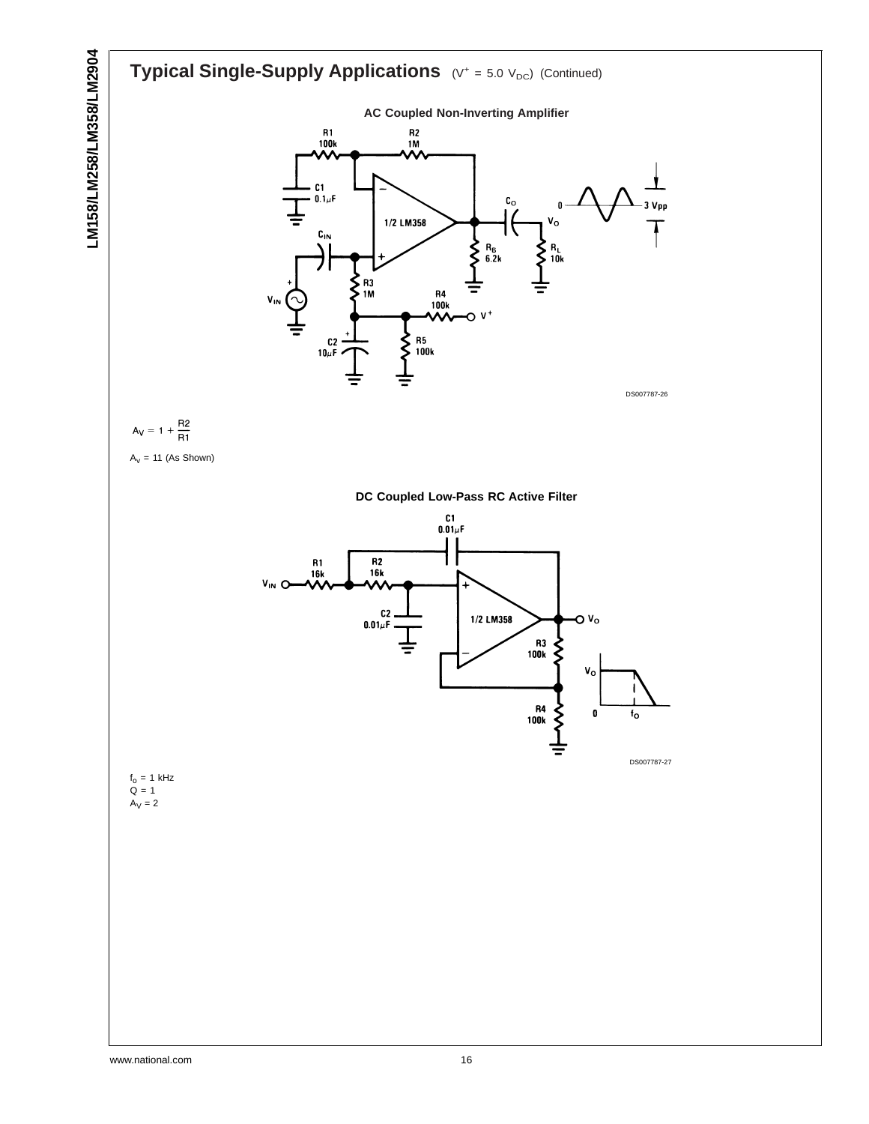#### LM158/LM258/LM358/LM2904 **LM158/LM258/LM358/LM2904 Typical Single-Supply Applications** (V<sup>+</sup> = 5.0 V<sub>DC</sub>) (Continued) **AC Coupled Non-Inverting Amplifier** R1<br>100k R2<br>1M  $C1$  $0.1 \mu F$  $\mathop{\rm c}\nolimits_{\rm o}$  $\Omega$  $\mathbf{v}_\mathbf{o}$ 1/2 LM358  $c_{\scriptscriptstyle\text{IN}}$  $R_B$ <br>6.2k ξ  $R_L$ ξ 10<sub>k</sub> .<br>1M ξ R4<br>100k  $\mathsf{o}$   $\mathsf{v}^*$  $C<sub>2</sub>$ くく  ${\sf R5}$  $100k$  $10\mu$ F DS007787-26  $A_V = 1 + \frac{R2}{R1}$  $A_v = 11$  (As Shown) **DC Coupled Low-Pass RC Active Filter**  $\frac{C1}{0.01\mu}$ F R2<br>16k R1<br>16k V<sub>IN</sub>O Ā  $C<sub>2</sub>$ 1/2 LM358  $\mathsf{v}_\mathsf{o}$ o  $0.01\mu$ F R3<br>100k ξ  $V_{\rm O}$ R4<br>100k 0 fo DS007787-27  $f_0 = 1$  kHz  $Q = 1$  $\mathsf{A}_\mathsf{V}=\mathsf{2}$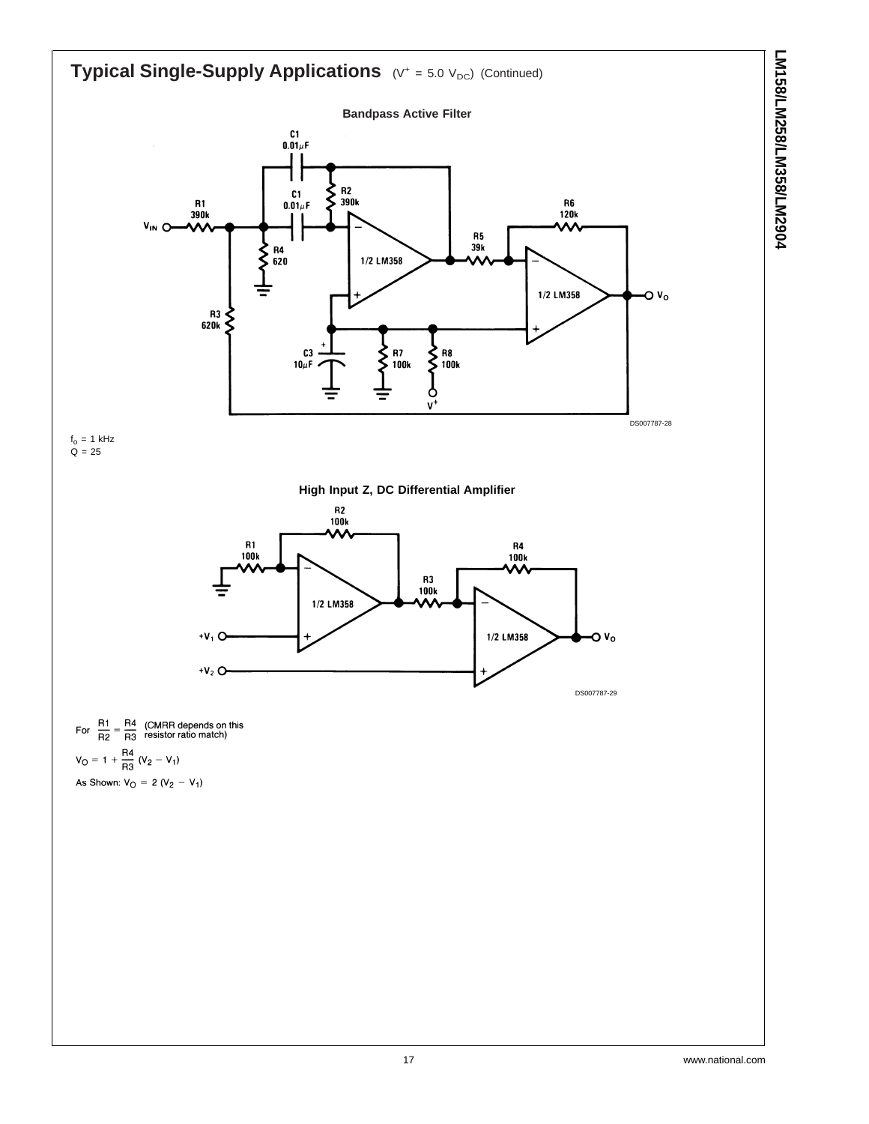

**Typical Single-Supply Applications** (V<sup>+</sup> = 5.0 V<sub>DC</sub>) (Continued)







For  $\frac{R1}{R2} = \frac{R4}{R3}$  (CMRR depends on this  $V_0 = 1 + \frac{R4}{R3} (V_2 - V_1)$ As Shown:  $V_O = 2 (V_2 - V_1)$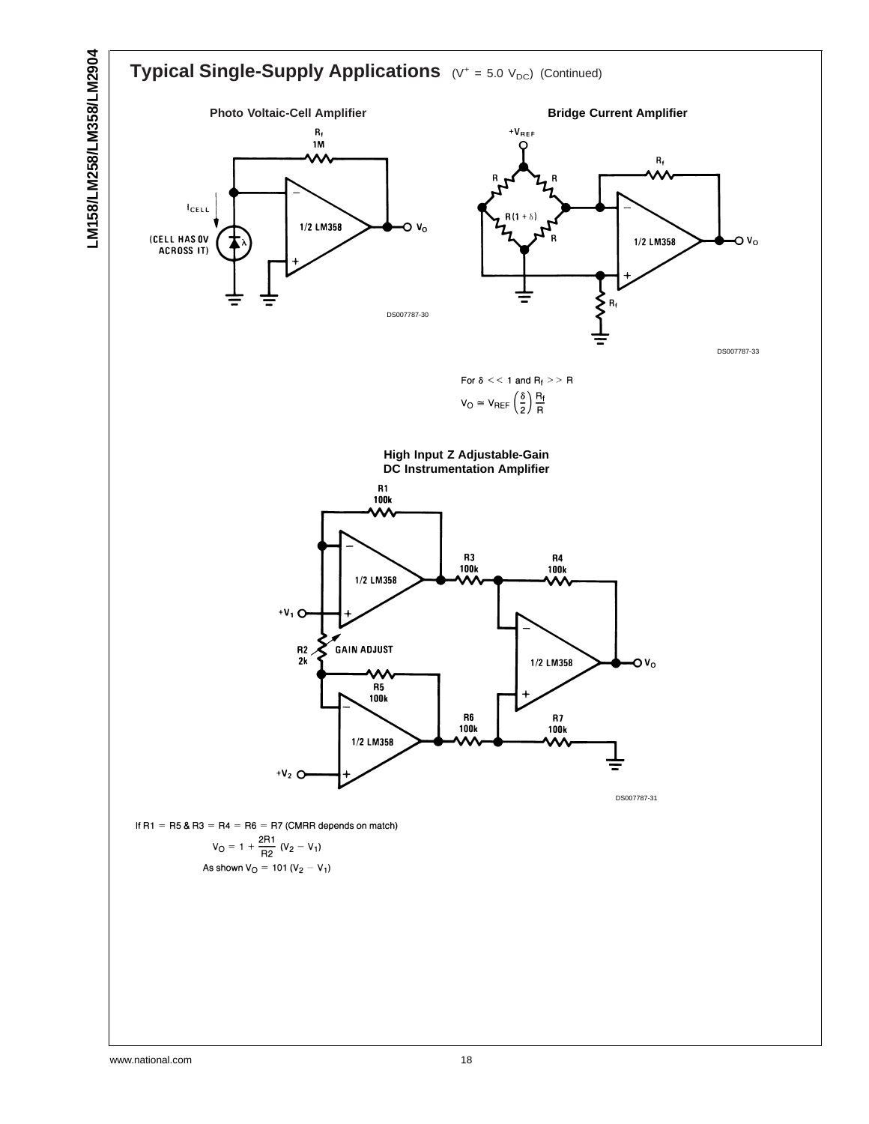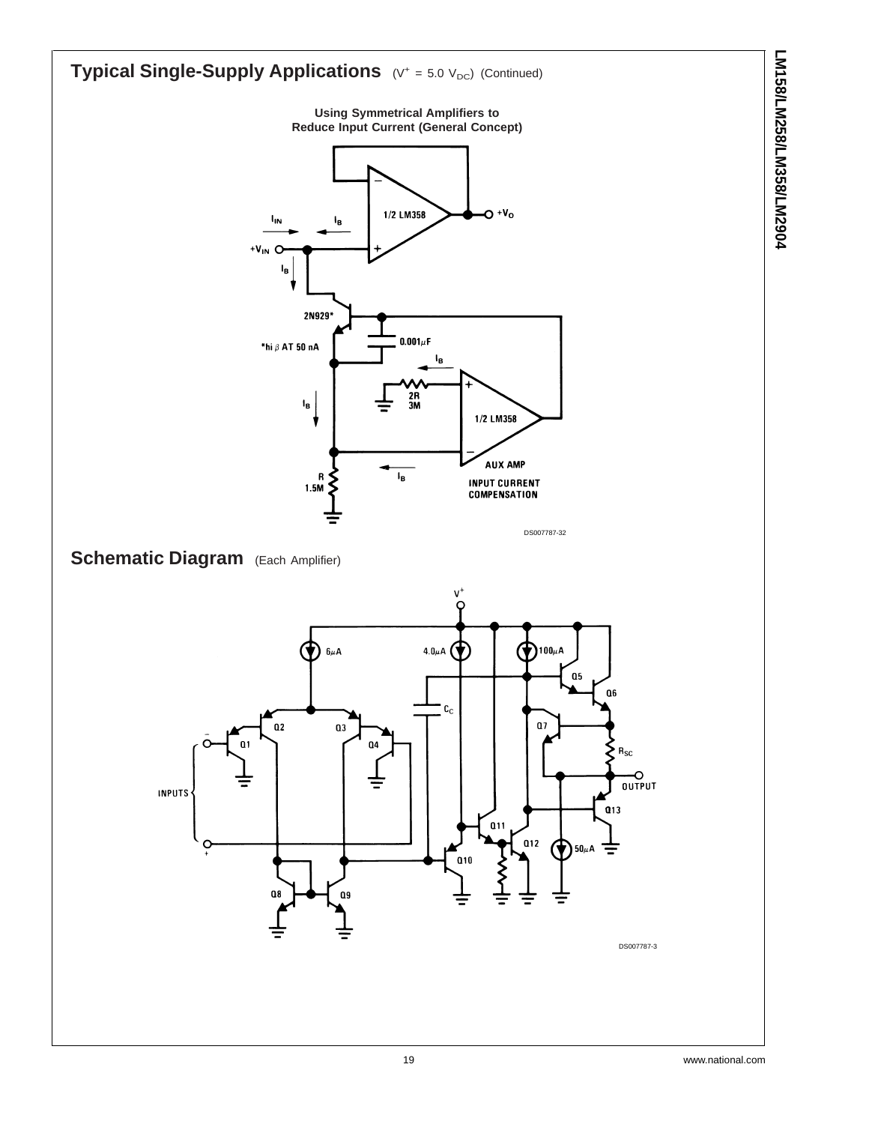![](_page_18_Figure_0.jpeg)

**LM158/LM258/LM358/LM2904**

LM158/LM258/LM358/LM2904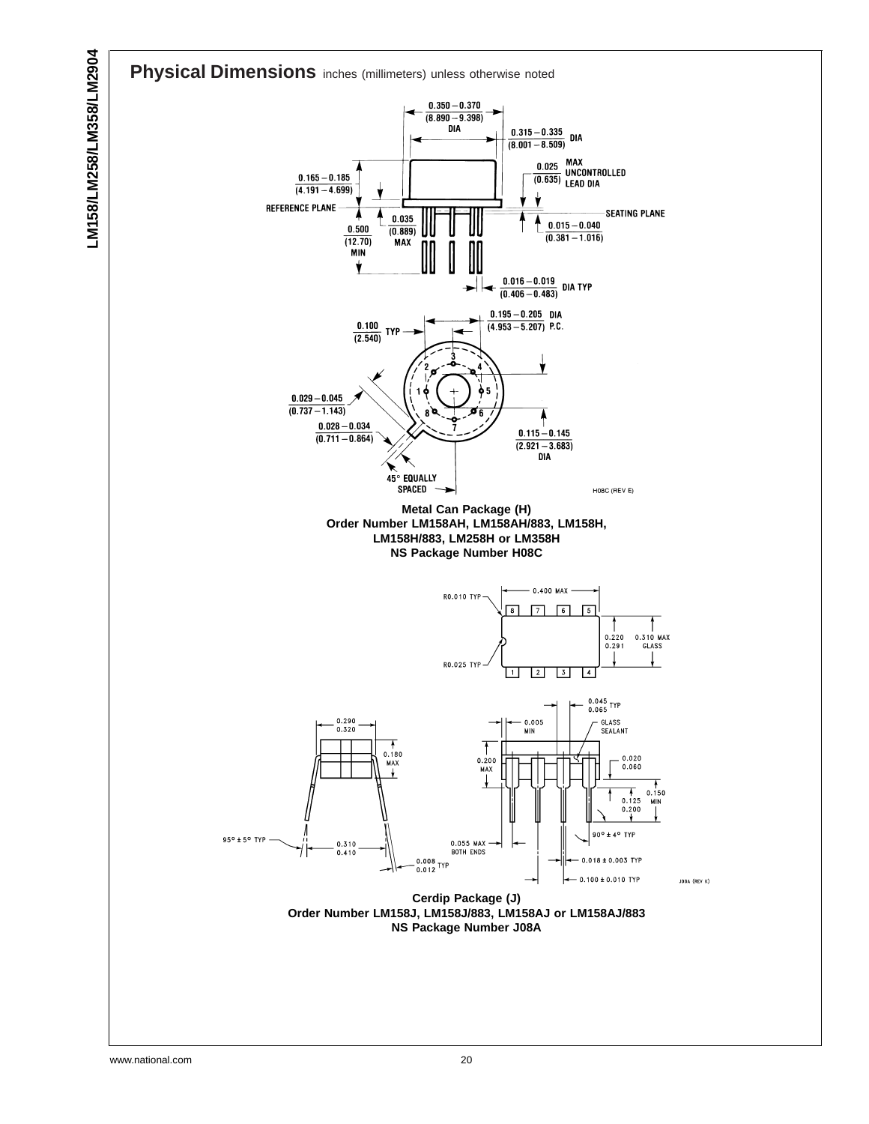![](_page_19_Figure_0.jpeg)

![](_page_19_Figure_1.jpeg)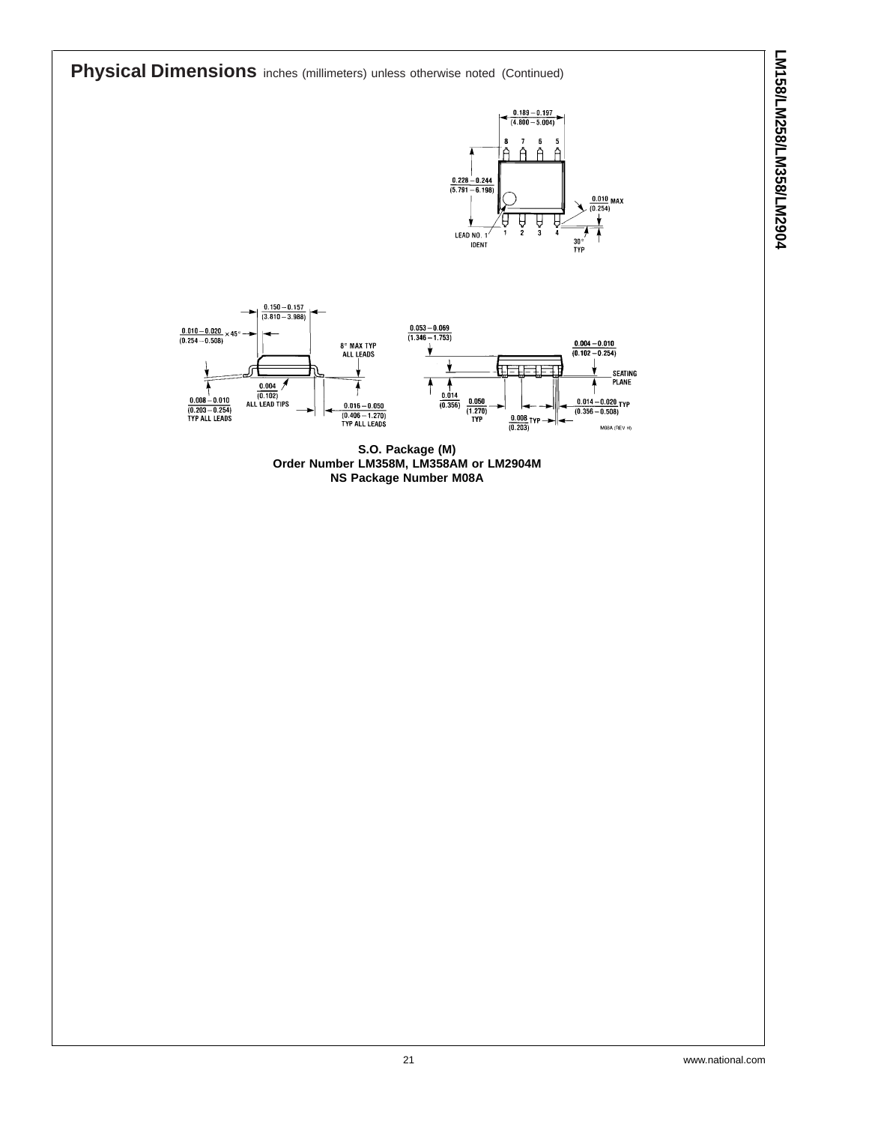**Physical Dimensions** inches (millimeters) unless otherwise noted (Continued)

![](_page_20_Figure_2.jpeg)

![](_page_20_Figure_3.jpeg)

**S.O. Package (M) Order Number LM358M, LM358AM or LM2904M NS Package Number M08A**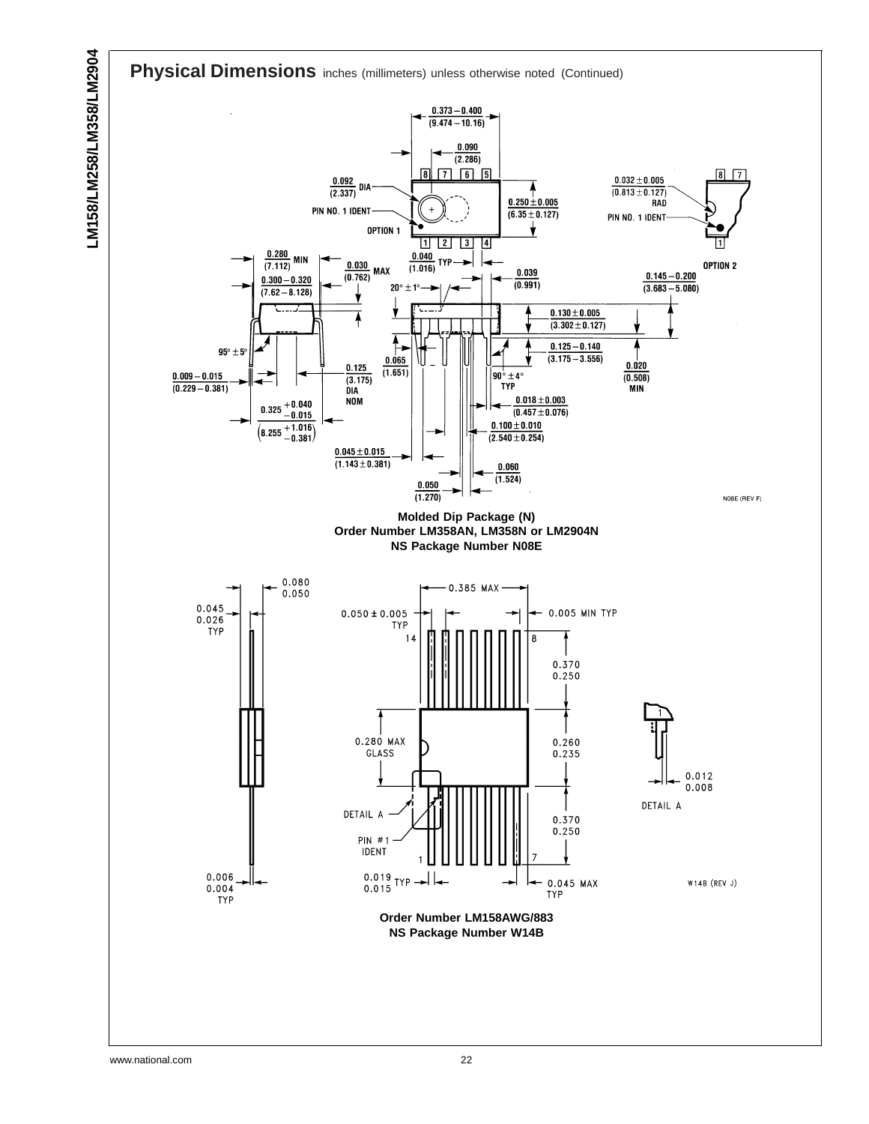![](_page_21_Figure_0.jpeg)

![](_page_21_Figure_1.jpeg)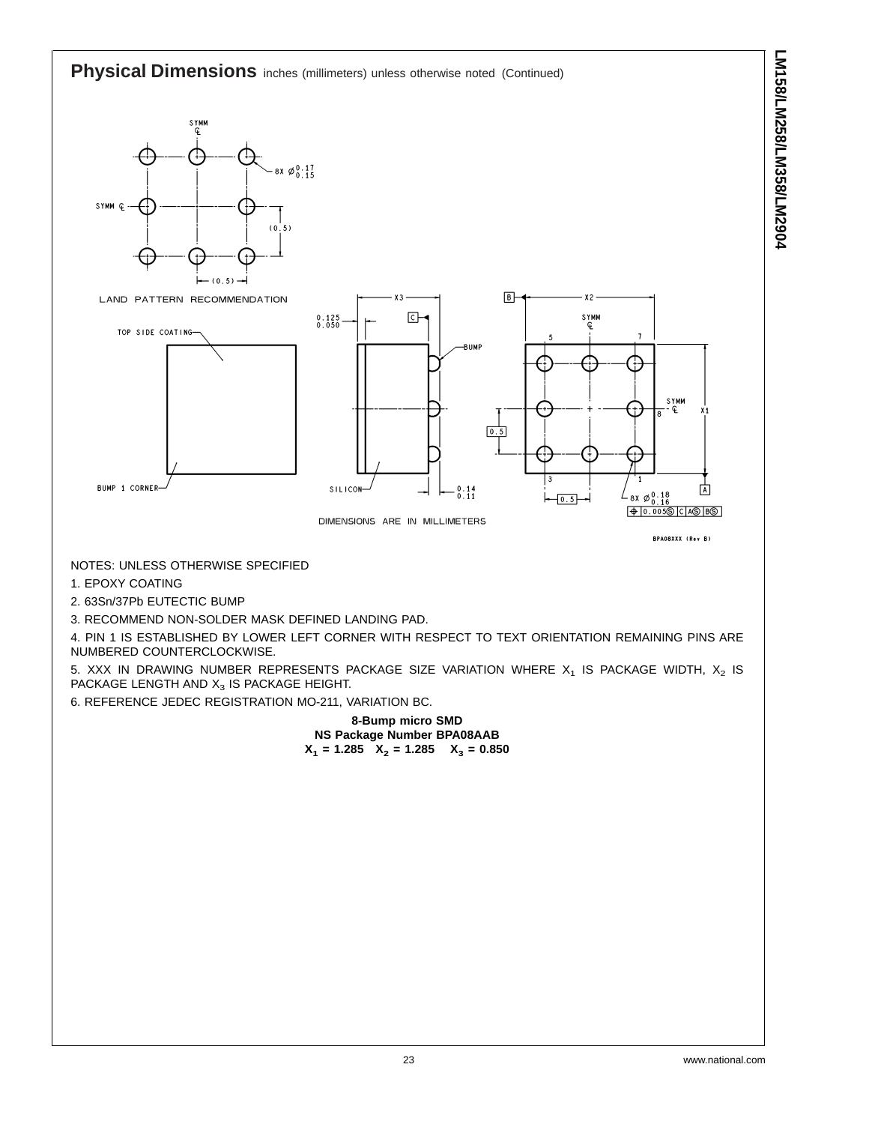**Physical Dimensions** inches (millimeters) unless otherwise noted (Continued)  $8x \not\in 0.17$ SYMM Q -- $(0.5)$  $\mathbf{0}$  $\overline{5}$  $B$ LAND PATTERN RECOMMENDATION  $x<sub>2</sub>$ ⊡ **SYMM**  $0.125$ <br> $0.050$ TOP SIDE COATING--BUMP SYMM  $\boxed{0.5}$ BUMP 1 CORNER-SILICON- $\begin{smallmatrix} 0 & 14 \\ 0 & 11 \end{smallmatrix}$ 面 ⊧  $\overline{0.5}$ DIMENSIONS ARE IN MILLIMETERS BPA08XXX (Rev B) NOTES: UNLESS OTHERWISE SPECIFIED 1. EPOXY COATING 2. 63Sn/37Pb EUTECTIC BUMP 3. RECOMMEND NON-SOLDER MASK DEFINED LANDING PAD. 4. PIN 1 IS ESTABLISHED BY LOWER LEFT CORNER WITH RESPECT TO TEXT ORIENTATION REMAINING PINS ARE NUMBERED COUNTERCLOCKWISE.

5. XXX IN DRAWING NUMBER REPRESENTS PACKAGE SIZE VARIATION WHERE  $X_1$  IS PACKAGE WIDTH,  $X_2$  IS PACKAGE LENGTH AND  $X_3$  IS PACKAGE HEIGHT.

6. REFERENCE JEDEC REGISTRATION MO-211, VARIATION BC.

**8-Bump micro SMD NS Package Number BPA08AAB**  $X_1$  = 1.285  $X_2$  = 1.285  $X_3$  = 0.850